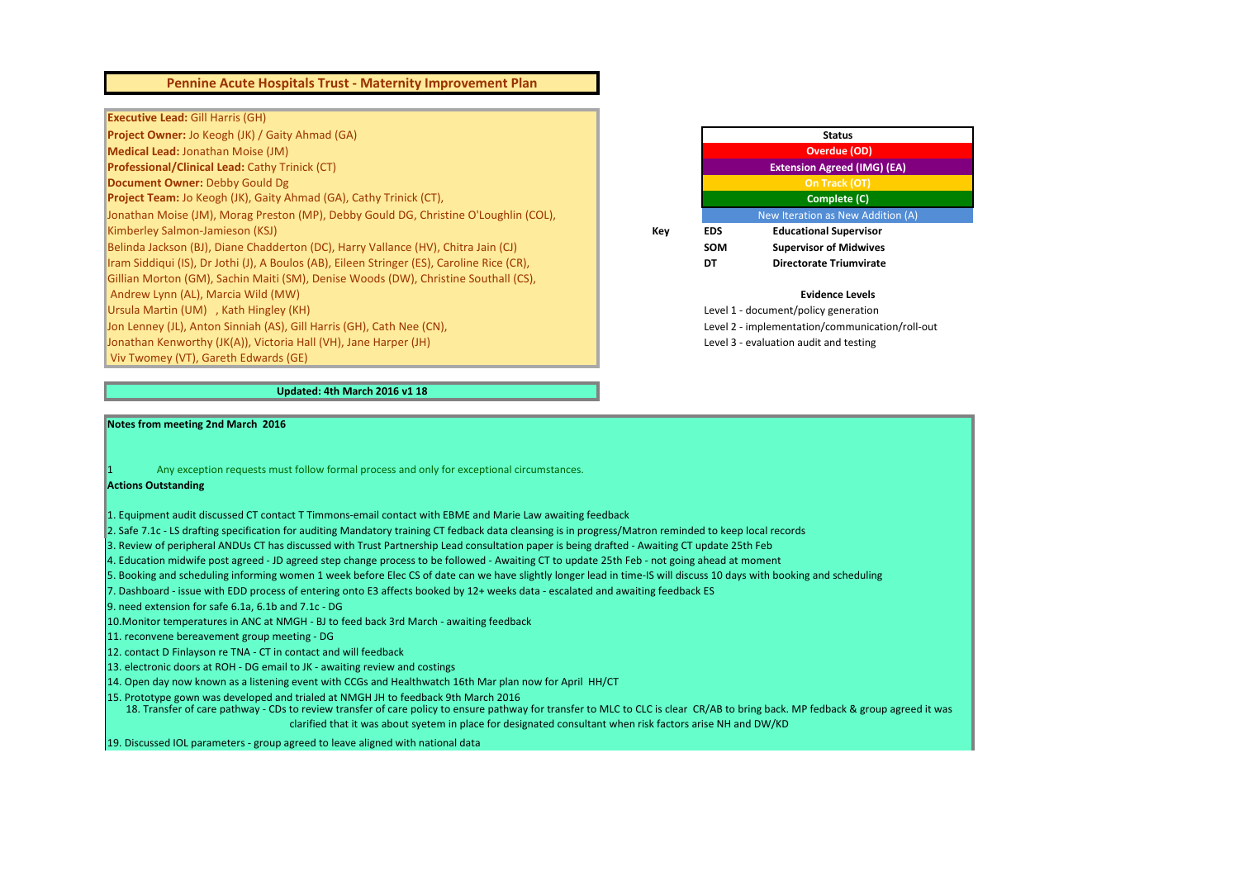**Project Owner:** Jo Keogh (JK) / Gaity Ahmad (GA) **Medical Lead:** Jonathan Moise (JM) **Professional/Clinical Lead:** Cathy Trinick (CT) **Document Owner:** Debby Gould Dg **Project Team:** Jo Keogh (JK), Gaity Ahmad (GA), Cathy Trinick (CT), Jonathan Moise (JM), Morag Preston (MP), Debby Gould DG, Christine O'Loughlin (COL), **Kimberley Salmon-Jamieson (KSJ) Key <b>Education** Supervisory Control Supervisory Control Supervisory Control Supervisory Control Supervisory Control Supervisory Control Supervisory Control Supervisory Control Supervisory Belinda Jackson (BJ), Diane Chadderton (DC), Harry Vallance (HV), Chitra Jain (CJ) Iram Siddiqui (IS), Dr Jothi (J), A Boulos (AB), Eileen Stringer (ES), Caroline Rice (CR), Gillian Morton (GM), Sachin Maiti (SM), Denise Woods (DW), Christine Southall (CS), Andrew Lynn (AL), Marcia Wild (MW) Ursula Martin (UM) , Kath Hingley (KH) Jon Lenney (JL), Anton Sinniah (AS), Gill Harris (GH), Cath Nee (CN), Jonathan Kenworthy (JK(A)), Victoria Hall (VH), Jane Harper (JH) Viv Twomey (VT), Gareth Edwards (GE)

#### **Notes from meeting 2nd March 2016**

#### Any exception requests must follow formal process and only for exceptional circumstances.

## **Actions Outstanding**

- 1. Equipment audit discussed CT contact T Timmons-email contact with EBME and Marie Law awaiting feedback
- 2. Safe 7.1c LS drafting specification for auditing Mandatory training CT fedback data cleansing is in progress/Matron reminded to keep local records
- 3. Review of peripheral ANDUs CT has discussed with Trust Partnership Lead consultation paper is being drafted Awaiting CT update 25th Feb
- 4. Education midwife post agreed JD agreed step change process to be followed Awaiting CT to update 25th Feb not going ahead at moment
- 5. Booking and scheduling informing women 1 week before Elec CS of date can we have slightly longer lead in time-IS will discuss 10 days with booking and scheduling
- 7. Dashboard issue with EDD process of entering onto E3 affects booked by 12+ weeks data escalated and awaiting feedback ES
- 9. need extension for safe 6.1a, 6.1b and 7.1c DG
- 10.Monitor temperatures in ANC at NMGH BJ to feed back 3rd March awaiting feedback
- 11. reconvene bereavement group meeting DG
- 12. contact D Finlayson re TNA CT in contact and will feedback
- 13. electronic doors at ROH DG email to JK awaiting review and costings
- 14. Open day now known as a listening event with CCGs and Healthwatch 16th Mar plan now for April HH/CT
- 15. Prototype gown was developed and trialed at NMGH JH to feedback 9th March 2016
	- 18. Transfer of care pathway CDs to review transfer of care policy to ensure pathway for transfer to MLC to CLC is clear CR/AB to bring back. MP fedback & group agreed it was clarified that it was about syetem in place for designated consultant when risk factors arise NH and DW/KD
- 19. Discussed IOL parameters group agreed to leave aligned with national data



# **Pennine Acute Hospitals Trust - Maternity Improvement Plan**

## **Executive Lead: Gill Harris (GH)**

### **Updated: 4th March 2016 v1 18**

#### **Evidence Levels**

|            | <b>Status</b>                      |
|------------|------------------------------------|
|            | <b>Overdue (OD)</b>                |
|            | <b>Extension Agreed (IMG) (EA)</b> |
|            | On Track (OT)                      |
|            | <b>Complete (C)</b>                |
|            | New Iteration as New Addition (A)  |
| <b>EDS</b> | <b>Educational Supervisor</b>      |
| <b>SOM</b> | <b>Supervisor of Midwives</b>      |
|            | Directorate Triumvirate            |
|            |                                    |

Level 1 - document/policy generation Level 2 - implementation/communication/roll-out Level 3 - evaluation audit and testing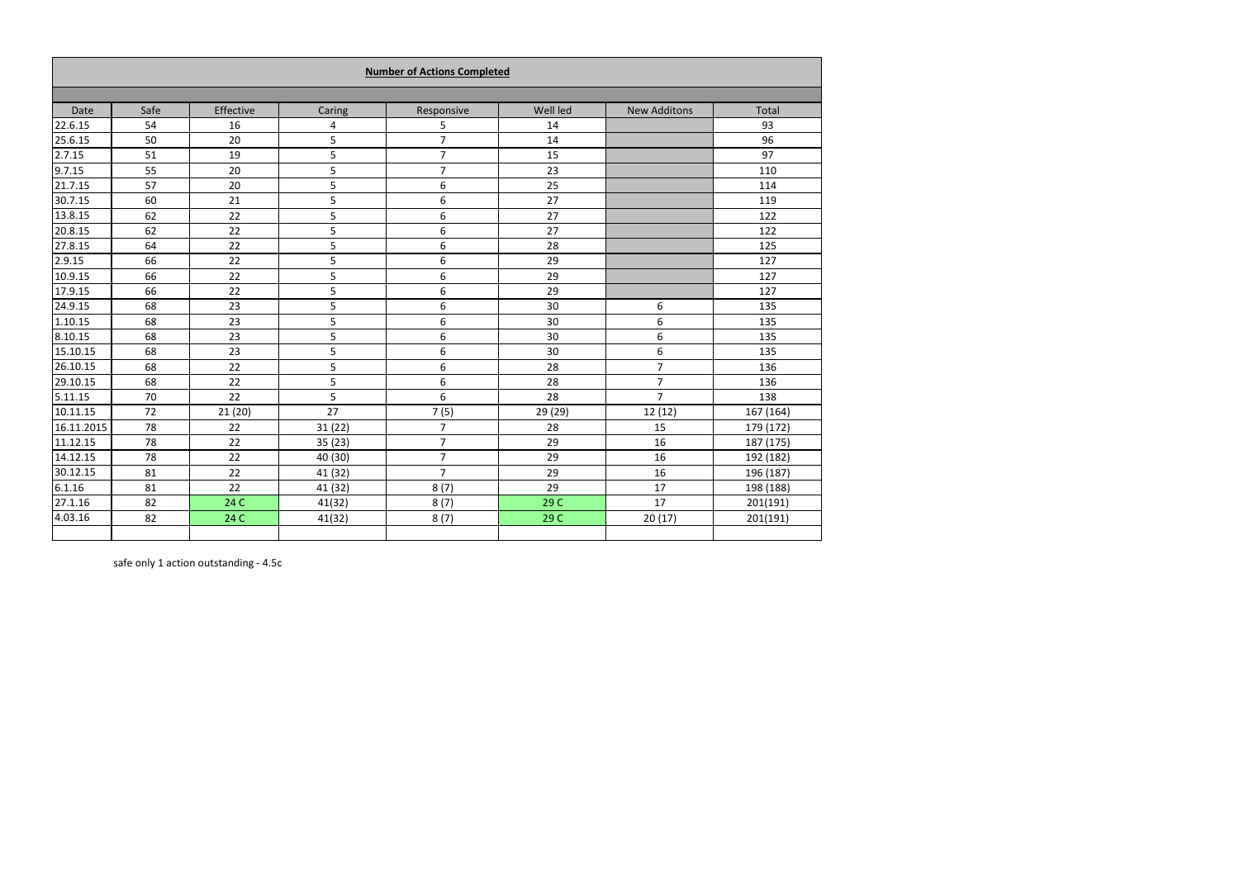|            |      |           |         | <b>Number of Actions Completed</b> |          |                     |           |
|------------|------|-----------|---------|------------------------------------|----------|---------------------|-----------|
|            |      |           |         |                                    |          |                     |           |
| Date       | Safe | Effective | Caring  | Responsive                         | Well led | <b>New Additons</b> | Total     |
| 22.6.15    | 54   | 16        | 4       | 5                                  | 14       |                     | 93        |
| 25.6.15    | 50   | 20        | 5       | $\overline{7}$                     | 14       |                     | 96        |
| 2.7.15     | 51   | 19        | 5       | $\overline{7}$                     | 15       |                     | 97        |
| 9.7.15     | 55   | 20        | 5       | $\overline{7}$                     | 23       |                     | 110       |
| 21.7.15    | 57   | 20        | 5       | 6                                  | 25       |                     | 114       |
| 30.7.15    | 60   | 21        | 5       | 6                                  | 27       |                     | 119       |
| 13.8.15    | 62   | 22        | 5       | 6                                  | 27       |                     | 122       |
| 20.8.15    | 62   | 22        | 5       | 6                                  | 27       |                     | 122       |
| 27.8.15    | 64   | 22        | 5       | 6                                  | 28       |                     | 125       |
| 2.9.15     | 66   | 22        | 5       | 6                                  | 29       |                     | 127       |
| 10.9.15    | 66   | 22        | 5       | $\boldsymbol{6}$                   | 29       |                     | 127       |
| 17.9.15    | 66   | 22        | 5       | 6                                  | 29       |                     | 127       |
| 24.9.15    | 68   | 23        | 5       | 6                                  | 30       | 6                   | 135       |
| 1.10.15    | 68   | 23        | 5       | 6                                  | 30       | 6                   | 135       |
| 8.10.15    | 68   | 23        | 5       | $\boldsymbol{6}$                   | 30       | 6                   | 135       |
| 15.10.15   | 68   | 23        | 5       | 6                                  | 30       | 6                   | 135       |
| 26.10.15   | 68   | 22        | 5       | $\boldsymbol{6}$                   | 28       | $\overline{7}$      | 136       |
| 29.10.15   | 68   | 22        | 5       | 6                                  | 28       | $\overline{7}$      | 136       |
| 5.11.15    | 70   | 22        | 5       | 6                                  | 28       | $\overline{7}$      | 138       |
| 10.11.15   | 72   | 21(20)    | 27      | 7(5)                               | 29 (29)  | 12(12)              | 167 (164) |
| 16.11.2015 | 78   | 22        | 31(22)  | $\overline{7}$                     | 28       | 15                  | 179 (172) |
| 11.12.15   | 78   | 22        | 35(23)  | $\overline{7}$                     | 29       | 16                  | 187 (175) |
| 14.12.15   | 78   | 22        | 40 (30) | $\overline{7}$                     | 29       | 16                  | 192 (182) |
| 30.12.15   | 81   | 22        | 41 (32) | $\overline{7}$                     | 29       | 16                  | 196 (187) |
| 6.1.16     | 81   | 22        | 41 (32) | 8(7)                               | 29       | 17                  | 198 (188) |
| 27.1.16    | 82   | 24 C      | 41(32)  | 8(7)                               | 29 C     | 17                  | 201(191)  |
| 4.03.16    | 82   | 24 C      | 41(32)  | 8(7)                               | 29 C     | 20(17)              | 201(191)  |
|            |      |           |         |                                    |          |                     |           |

safe only 1 action outstanding - 4.5c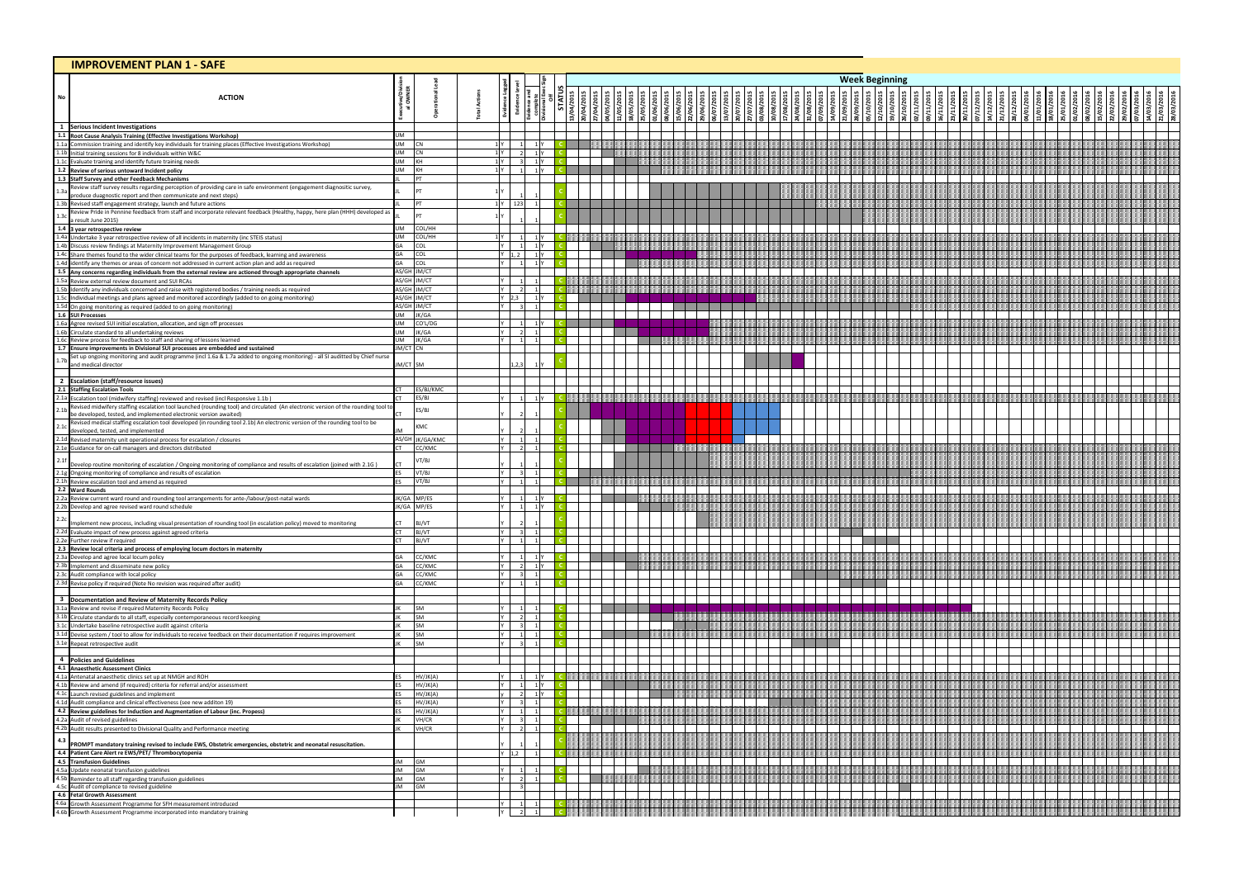|           | <b>IMPROVEMENT PLAN 1 - SAFE</b>                                                                                                                                                                                                                 |                       |                            |                             |                                  |  |  |  |  |  |                       |           |  |  |  |  |  |  |
|-----------|--------------------------------------------------------------------------------------------------------------------------------------------------------------------------------------------------------------------------------------------------|-----------------------|----------------------------|-----------------------------|----------------------------------|--|--|--|--|--|-----------------------|-----------|--|--|--|--|--|--|
|           |                                                                                                                                                                                                                                                  |                       |                            |                             |                                  |  |  |  |  |  | <b>Week Beginning</b> |           |  |  |  |  |  |  |
|           |                                                                                                                                                                                                                                                  |                       |                            |                             |                                  |  |  |  |  |  |                       |           |  |  |  |  |  |  |
| <b>No</b> | <b>ACTION</b>                                                                                                                                                                                                                                    |                       |                            |                             |                                  |  |  |  |  |  | 10/201                |           |  |  |  |  |  |  |
|           |                                                                                                                                                                                                                                                  |                       |                            |                             |                                  |  |  |  |  |  |                       | 9/10/2015 |  |  |  |  |  |  |
|           | 1 Serious Incident Investigations                                                                                                                                                                                                                |                       |                            |                             |                                  |  |  |  |  |  |                       |           |  |  |  |  |  |  |
|           |                                                                                                                                                                                                                                                  | UM                    |                            |                             |                                  |  |  |  |  |  |                       |           |  |  |  |  |  |  |
|           | 1.1 Root Cause Analysis Training (Effective Investigations Workshop)<br>1.1 Root Cause Analysis Training (Effective Investigations Workshop)<br>1.1a Commission training and identify key individuals for training places (Effecti               | UM<br>UM              | C <sub>N</sub>             | 1 Y 1                       | 1 Y<br>1 <sup>Y</sup>            |  |  |  |  |  |                       |           |  |  |  |  |  |  |
|           |                                                                                                                                                                                                                                                  | UM                    | KH                         |                             | 1 <sup>N</sup>                   |  |  |  |  |  |                       |           |  |  |  |  |  |  |
|           |                                                                                                                                                                                                                                                  | UM                    | <b>KH</b>                  |                             |                                  |  |  |  |  |  |                       |           |  |  |  |  |  |  |
|           | 1.3 Staff Survey and other Feedback Mechanisms<br>Review staff survey results regarding perception of providing care in safe environment (engagement diagnositic survey,                                                                         |                       | PT                         |                             |                                  |  |  |  |  |  |                       |           |  |  |  |  |  |  |
| 1.3a      | produce duagnostic report and then communicate and next steps)                                                                                                                                                                                   |                       |                            |                             |                                  |  |  |  |  |  |                       |           |  |  |  |  |  |  |
|           | produce duagnostic report and then communicate and next ste<br>1.3b Revised staff engagement strategy, launch and future actions<br>1.3c Review Pride in Pennine feedback from staff and incorporate report<br>2.1.3c Review Pride i             |                       | PT                         | Y 123                       |                                  |  |  |  |  |  |                       |           |  |  |  |  |  |  |
|           | Review Pride in Pennine feedback from staff and incorporate relevant feedback (Healthy, happy, here plan (HHH) developed as<br>a result June 2015)                                                                                               |                       |                            |                             |                                  |  |  |  |  |  |                       |           |  |  |  |  |  |  |
|           | 1.3 a result June 2015)<br>1.4 a year retrospective review<br>1.4a Undertake 3 year retrospective review of all incidents in maternity (inc STEIS status)<br>1.4b Uniscuss review findings at Maternity Improvement Management Group             | JM                    | COL/HH                     |                             |                                  |  |  |  |  |  |                       |           |  |  |  |  |  |  |
|           |                                                                                                                                                                                                                                                  | JM<br>GА              | COL/HH<br>COL              | lv I                        | 1 <sup>Y</sup><br>1 <sup>Y</sup> |  |  |  |  |  |                       |           |  |  |  |  |  |  |
|           |                                                                                                                                                                                                                                                  | GA                    | COL                        | 1.2                         |                                  |  |  |  |  |  |                       |           |  |  |  |  |  |  |
|           |                                                                                                                                                                                                                                                  | GA                    | COL                        |                             |                                  |  |  |  |  |  |                       |           |  |  |  |  |  |  |
|           |                                                                                                                                                                                                                                                  |                       | AS/GH JM/CT                |                             |                                  |  |  |  |  |  |                       |           |  |  |  |  |  |  |
|           |                                                                                                                                                                                                                                                  |                       | AS/GH JM/CT<br>AS/GH JM/CT |                             |                                  |  |  |  |  |  |                       |           |  |  |  |  |  |  |
|           |                                                                                                                                                                                                                                                  |                       | AS/GH JM/CT                | (2,3)                       | 1'Y                              |  |  |  |  |  |                       |           |  |  |  |  |  |  |
|           |                                                                                                                                                                                                                                                  | UM                    | AS/GH JM/CT<br>JK/GA       |                             |                                  |  |  |  |  |  |                       |           |  |  |  |  |  |  |
|           |                                                                                                                                                                                                                                                  | UM                    | CO'L/DG                    |                             | 1 <sup>IY</sup>                  |  |  |  |  |  |                       |           |  |  |  |  |  |  |
|           |                                                                                                                                                                                                                                                  | UM                    | JK/GA                      |                             |                                  |  |  |  |  |  |                       |           |  |  |  |  |  |  |
|           | 1.4d identify any themes or areas of concern not addressed in current action plan and add as required<br>1.5 <b>Any concerns regarding individuals from the external review are actioned through appropriate channels<br/> 1.5a Revie</b>        | UM<br><b>IM/CT CN</b> | JK/GA                      | vΙ                          |                                  |  |  |  |  |  |                       |           |  |  |  |  |  |  |
|           | Set up ongoing monitoring and audit programme (incl 1.6a & 1.7a added to ongoing monitoring) - all SI auditted by Chief nurse                                                                                                                    |                       |                            |                             |                                  |  |  |  |  |  |                       |           |  |  |  |  |  |  |
|           | and medical director                                                                                                                                                                                                                             | <b>JM/CT SM</b>       |                            |                             |                                  |  |  |  |  |  |                       |           |  |  |  |  |  |  |
|           |                                                                                                                                                                                                                                                  |                       |                            |                             |                                  |  |  |  |  |  |                       |           |  |  |  |  |  |  |
|           | 2 Escalation (staff/resource issues)<br>2.1 Staffing Escalation Tools<br>2.1a Escalation tool (midwifery staffing) reviewed and revised (incl Responsive 1.1b)<br>Revised midwifery staffing escalation tool launched (rounding tool) a          |                       | ES/BJ/KMC                  |                             |                                  |  |  |  |  |  |                       |           |  |  |  |  |  |  |
|           | Revised midwifery staffing escalation tool launched (rounding tool) and circulated (An electronic version of the rounding tool to                                                                                                                |                       | ES/BJ                      |                             | 1 Y                              |  |  |  |  |  |                       |           |  |  |  |  |  |  |
| 2.11      | be developed, tested, and implemented electronic version awaited)                                                                                                                                                                                |                       | S/BJ                       |                             |                                  |  |  |  |  |  |                       |           |  |  |  |  |  |  |
| 2.1c      | Revised medical staffing escalation tool developed (in rounding tool 2.1b) An electronic version of the rounding tool to be                                                                                                                      |                       | <b>KMC</b>                 |                             |                                  |  |  |  |  |  |                       |           |  |  |  |  |  |  |
|           | developed, tested, and implemented<br>developed, tested, and implemented<br>2.1d Revised maternity unit operational process for escalation / closures<br>2.1e Guidance for on-call managers and directors distributed                            | AS/GH                 | JK/GA/KMC                  |                             |                                  |  |  |  |  |  |                       |           |  |  |  |  |  |  |
|           |                                                                                                                                                                                                                                                  |                       | CC/KMC                     |                             |                                  |  |  |  |  |  |                       |           |  |  |  |  |  |  |
|           | Develop routine monitoring of escalation / Ongoing monitoring of compliance and results of escalation (joined with 2.1G)                                                                                                                         |                       | /T/BJ                      |                             |                                  |  |  |  |  |  |                       |           |  |  |  |  |  |  |
|           |                                                                                                                                                                                                                                                  |                       | VT/BJ                      |                             |                                  |  |  |  |  |  |                       |           |  |  |  |  |  |  |
|           | 2.1f<br>Develop routine monitoring of escalation / Ongoing monitoring<br>2.1g Ongoing monitoring of compliance and results of escalation<br>2.1h Review escalation tool and amend as required<br>2.2 Ward Rounds                                 |                       | VT/BJ                      |                             |                                  |  |  |  |  |  |                       |           |  |  |  |  |  |  |
|           |                                                                                                                                                                                                                                                  |                       | JK/GA MP/ES                |                             | 1'Y                              |  |  |  |  |  |                       |           |  |  |  |  |  |  |
|           | 2.2a Review current ward round and rounding tool arrangements for ante-/labour/post-natal wards<br>2.2b Develop and agree revised ward round schedule                                                                                            |                       | JK/GA MP/ES                |                             | 1 <sup>Y</sup>                   |  |  |  |  |  |                       |           |  |  |  |  |  |  |
| 2.2c      | Implement new process, including visual presentation of rounding tool (in escalation policy) moved to monitoring                                                                                                                                 | CT and the control    | BJ/VT                      |                             |                                  |  |  |  |  |  |                       |           |  |  |  |  |  |  |
|           |                                                                                                                                                                                                                                                  | <b>CT</b>             | BJ/VT                      |                             |                                  |  |  |  |  |  |                       |           |  |  |  |  |  |  |
|           |                                                                                                                                                                                                                                                  |                       | BJ/VT                      |                             |                                  |  |  |  |  |  |                       |           |  |  |  |  |  |  |
|           |                                                                                                                                                                                                                                                  | GA                    | CC/KMC                     | ΥI                          | 1 <sup>N</sup>                   |  |  |  |  |  |                       |           |  |  |  |  |  |  |
|           |                                                                                                                                                                                                                                                  |                       | C/KMC                      |                             | 1 <sup>Y</sup>                   |  |  |  |  |  |                       |           |  |  |  |  |  |  |
|           |                                                                                                                                                                                                                                                  |                       | CC/KMC                     | v I<br>ΥI<br>$\overline{1}$ | $\overline{1}$                   |  |  |  |  |  |                       |           |  |  |  |  |  |  |
|           | <b>Examplement new process, including visual presentation or rounding tool (in esc<br/> 2.2.2. Evaluate impact of new process against agreed criteria<br/> 2.2. E Further review if required<br/> 2.3 Review local criteria and process of e</b> | GA                    | CC/KMC                     |                             |                                  |  |  |  |  |  |                       |           |  |  |  |  |  |  |
|           | 3 Documentation and Review of Maternity Records Policy<br>3.1a Review and revise if required Maternity Records Policy<br>3.1b Circulate standards to all staff, especially contemporaneous record keeping<br>3.1c Undertake baseline             |                       |                            |                             |                                  |  |  |  |  |  |                       |           |  |  |  |  |  |  |
|           |                                                                                                                                                                                                                                                  |                       | SM<br>SM                   | vΙ<br>ΥI                    |                                  |  |  |  |  |  |                       |           |  |  |  |  |  |  |
|           |                                                                                                                                                                                                                                                  |                       | SM                         |                             |                                  |  |  |  |  |  |                       |           |  |  |  |  |  |  |
|           |                                                                                                                                                                                                                                                  |                       | SM                         |                             |                                  |  |  |  |  |  |                       |           |  |  |  |  |  |  |
|           |                                                                                                                                                                                                                                                  |                       | <b>SM</b>                  |                             |                                  |  |  |  |  |  |                       |           |  |  |  |  |  |  |
|           |                                                                                                                                                                                                                                                  |                       |                            |                             |                                  |  |  |  |  |  |                       |           |  |  |  |  |  |  |
|           |                                                                                                                                                                                                                                                  |                       |                            |                             |                                  |  |  |  |  |  |                       |           |  |  |  |  |  |  |
|           | 4 Policies and Guidelines<br>4.1 Anaesthetic Assessment Clinics<br>4.1 Anaesthetic clinics set up at NMGH and ROH<br>4.1b Review and amend (if required) criteria for referral and/or assessment<br>4.1d Launch revised guidelines and inp       |                       | HV/JK(A)<br>HV/JK(A)       | ΥI                          | 1Y<br>1 <sup>N</sup>             |  |  |  |  |  |                       |           |  |  |  |  |  |  |
|           |                                                                                                                                                                                                                                                  |                       | HV/JK(A)                   |                             | 1 Y                              |  |  |  |  |  |                       |           |  |  |  |  |  |  |
|           |                                                                                                                                                                                                                                                  | FS                    | HV/JK(A)<br>HV/JK(A)       | Y I                         |                                  |  |  |  |  |  |                       |           |  |  |  |  |  |  |
|           |                                                                                                                                                                                                                                                  | IΚ                    | VH/CR                      |                             |                                  |  |  |  |  |  |                       |           |  |  |  |  |  |  |
|           |                                                                                                                                                                                                                                                  |                       | VH/CR                      |                             |                                  |  |  |  |  |  |                       |           |  |  |  |  |  |  |
|           |                                                                                                                                                                                                                                                  |                       |                            |                             |                                  |  |  |  |  |  |                       |           |  |  |  |  |  |  |
|           |                                                                                                                                                                                                                                                  |                       |                            | 1.2                         |                                  |  |  |  |  |  |                       |           |  |  |  |  |  |  |
|           |                                                                                                                                                                                                                                                  | IМ                    | GM                         |                             |                                  |  |  |  |  |  |                       |           |  |  |  |  |  |  |
|           |                                                                                                                                                                                                                                                  | <b>IM</b><br>ıм       | GM<br>GM                   | vΙ                          |                                  |  |  |  |  |  |                       |           |  |  |  |  |  |  |
|           | 4.5c Audit of compliance to revised guideline                                                                                                                                                                                                    | JM                    | GM                         |                             |                                  |  |  |  |  |  |                       |           |  |  |  |  |  |  |
|           |                                                                                                                                                                                                                                                  |                       |                            | Y I                         |                                  |  |  |  |  |  |                       |           |  |  |  |  |  |  |
|           | 4.6 Fetal Growth Assessment<br>4.6 Fetal Growth Assessment<br>4.6 Fetal Growth Assessment Programme for SFH measurement introduced<br>4.6b Growth Assessment Programme incorporated into mandatory training                                      |                       |                            |                             |                                  |  |  |  |  |  |                       |           |  |  |  |  |  |  |
|           |                                                                                                                                                                                                                                                  |                       |                            |                             |                                  |  |  |  |  |  |                       |           |  |  |  |  |  |  |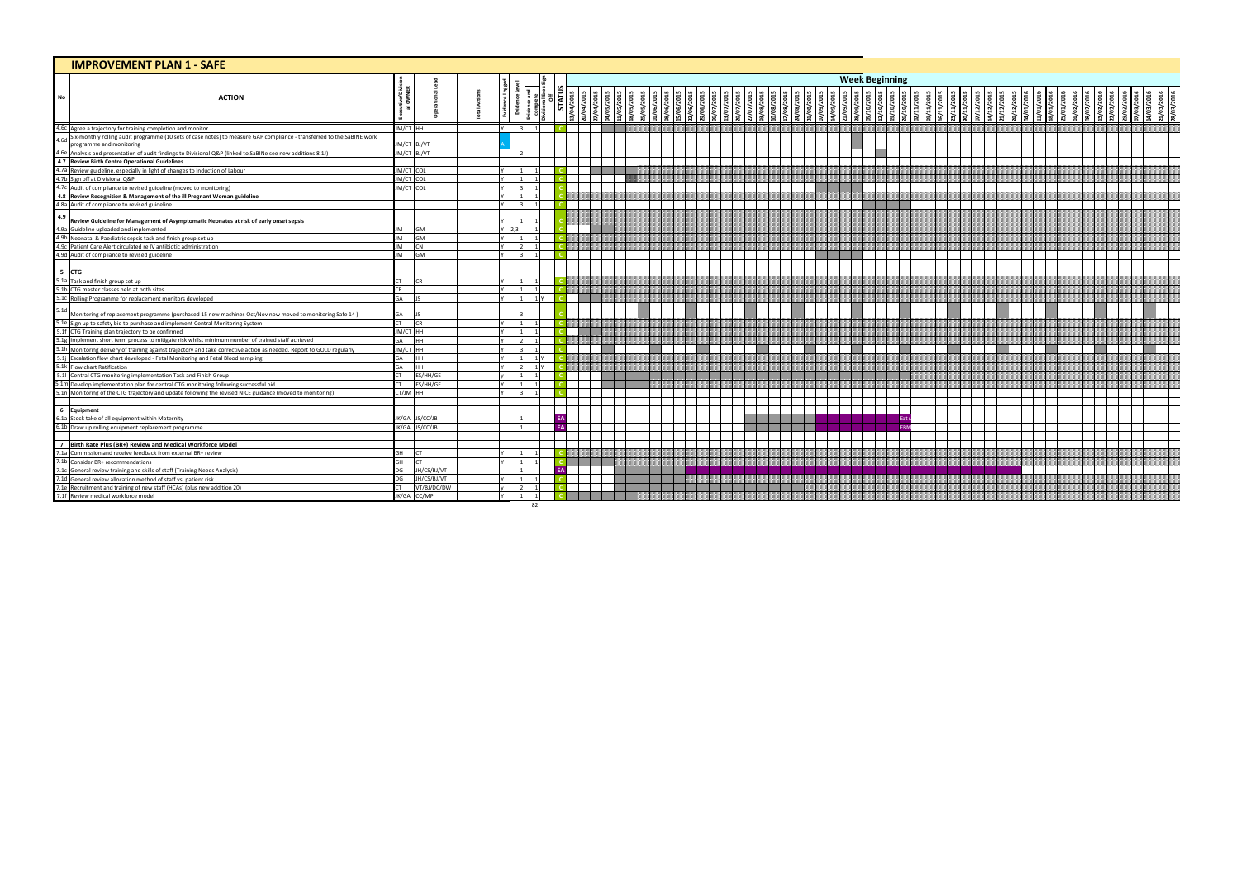| <b>IMPROVEMENT PLAN 1 - SAFE</b>                                                                                                                                                                                                     |                      |                |                           |    |           |    |  |  |  |         |          |                       |                                   |  |  |  |  |  |  |  |
|--------------------------------------------------------------------------------------------------------------------------------------------------------------------------------------------------------------------------------------|----------------------|----------------|---------------------------|----|-----------|----|--|--|--|---------|----------|-----------------------|-----------------------------------|--|--|--|--|--|--|--|
|                                                                                                                                                                                                                                      |                      |                |                           |    |           |    |  |  |  |         |          | <b>Week Beginning</b> |                                   |  |  |  |  |  |  |  |
| <b>ACTION</b><br>No                                                                                                                                                                                                                  | <b>JOIMER</b><br>MER |                |                           |    |           |    |  |  |  | 108/201 | 1/08/201 |                       | 2/10/2015<br>19/10/2015<br>$\sum$ |  |  |  |  |  |  |  |
| 4.6c Agree a trajectory for training completion and monitor                                                                                                                                                                          | JM/CT HH             |                |                           |    |           |    |  |  |  |         |          |                       |                                   |  |  |  |  |  |  |  |
| Six-monthly rolling audit programme (10 sets of case notes) to measure GAP compliance - transferred to the SaBINE work<br>4.6c<br>programme and monitoring                                                                           |                      | JM/CT BJ/VT    |                           |    |           |    |  |  |  |         |          |                       |                                   |  |  |  |  |  |  |  |
|                                                                                                                                                                                                                                      |                      | JM/CT BJ/VT    |                           |    |           |    |  |  |  |         |          |                       |                                   |  |  |  |  |  |  |  |
| Frogramme and monitoring<br>4.6 Analysis and presentation of audit findings to Divisional Q&P (linked to SaBINe see new additions 8.11)<br>4.7 Review guideline, especially in light of changes to Induction of Labour<br>4.7 Review |                      |                |                           |    |           |    |  |  |  |         |          |                       |                                   |  |  |  |  |  |  |  |
|                                                                                                                                                                                                                                      | JM/CT COL            |                |                           |    |           |    |  |  |  |         |          |                       |                                   |  |  |  |  |  |  |  |
|                                                                                                                                                                                                                                      | JM/CT COL            |                |                           |    |           |    |  |  |  |         |          |                       |                                   |  |  |  |  |  |  |  |
|                                                                                                                                                                                                                                      | JM/CT COL            |                | v I                       |    |           |    |  |  |  |         |          |                       |                                   |  |  |  |  |  |  |  |
|                                                                                                                                                                                                                                      |                      |                |                           |    |           |    |  |  |  |         |          |                       |                                   |  |  |  |  |  |  |  |
| 4.8a Audit of compliance to revised guideline                                                                                                                                                                                        |                      |                |                           |    |           |    |  |  |  |         |          |                       |                                   |  |  |  |  |  |  |  |
| 4.9<br>Review Guideline for Management of Asymptomatic Neonates at risk of early onset sepsis                                                                                                                                        |                      |                |                           |    |           |    |  |  |  |         |          |                       |                                   |  |  |  |  |  |  |  |
| Also Guideline uploaded and implemented<br>4.9a Guideline uploaded and implemented<br>4.9b Neonatal & Paediatric sepsis task and finish group set up                                                                                 | JM                   | <b>GM</b>      | $\binom{2.3}{ }$          |    |           |    |  |  |  |         |          |                       |                                   |  |  |  |  |  |  |  |
|                                                                                                                                                                                                                                      | <b>JM</b>            | GM             |                           |    |           |    |  |  |  |         |          |                       |                                   |  |  |  |  |  |  |  |
|                                                                                                                                                                                                                                      | <b>JM</b>            | <b>CN</b>      |                           |    |           |    |  |  |  |         |          |                       |                                   |  |  |  |  |  |  |  |
| 4.96 Patient Care Alert circulated re IV antibiotic administration<br>4.96 Patient Care Alert circulated re IV antibiotic administration<br>4.9d Audit of compliance to revised guideline                                            | <b>JM</b>            | GM             |                           |    |           |    |  |  |  |         |          |                       |                                   |  |  |  |  |  |  |  |
| $5$ CTG                                                                                                                                                                                                                              |                      |                |                           |    |           |    |  |  |  |         |          |                       |                                   |  |  |  |  |  |  |  |
| 5.1a Task and finish group set up                                                                                                                                                                                                    | CT <sub>1</sub>      | <b>CR</b>      | Y I                       |    |           |    |  |  |  |         |          |                       |                                   |  |  |  |  |  |  |  |
| 5.1b CTG master classes held at both sites<br>5.1c Rolling Programme for replacement monitors developed                                                                                                                              | CR                   |                |                           |    |           |    |  |  |  |         |          |                       |                                   |  |  |  |  |  |  |  |
|                                                                                                                                                                                                                                      | GA                   |                |                           |    |           |    |  |  |  |         |          |                       |                                   |  |  |  |  |  |  |  |
| 5.1d<br>Monitoring of replacement programme (purchased 15 new machines Oct/Nov now moved to monitoring Safe 14)<br>5.1e Sign up to safety bid to purchase and implement Central Monitoring System<br>5.1f CTG Training plan trajecto | GA                   |                |                           |    |           |    |  |  |  |         |          |                       |                                   |  |  |  |  |  |  |  |
|                                                                                                                                                                                                                                      | <b>CT</b>            | <b>CR</b>      | $\mathsf{v}$ $\mathsf{l}$ |    |           |    |  |  |  |         |          |                       |                                   |  |  |  |  |  |  |  |
|                                                                                                                                                                                                                                      | JM/CT HH             |                |                           |    |           |    |  |  |  |         |          |                       |                                   |  |  |  |  |  |  |  |
|                                                                                                                                                                                                                                      | GA                   | HH.            |                           |    |           |    |  |  |  |         |          |                       |                                   |  |  |  |  |  |  |  |
|                                                                                                                                                                                                                                      | JM/CT HH             |                |                           |    |           |    |  |  |  |         |          |                       |                                   |  |  |  |  |  |  |  |
|                                                                                                                                                                                                                                      | GA                   | HH.            |                           |    |           |    |  |  |  |         |          |                       |                                   |  |  |  |  |  |  |  |
| 5.1 Flow chart Ratification<br>5.1 Central CTG monitoring implementation Task and Finish Group                                                                                                                                       | GA                   | HH.            |                           |    |           |    |  |  |  |         |          |                       |                                   |  |  |  |  |  |  |  |
|                                                                                                                                                                                                                                      | ΓT.                  | ES/HH/GE       |                           |    |           |    |  |  |  |         |          |                       |                                   |  |  |  |  |  |  |  |
| 5.1m Develop implementation plan for central CTG monitoring following successful bid                                                                                                                                                 | CΤ.                  | ES/HH/GE       |                           |    |           |    |  |  |  |         |          |                       |                                   |  |  |  |  |  |  |  |
| 5.1n Monitoring of the CTG trajectory and update following the revised NICE guidance (moved to monitoring)                                                                                                                           | CT/JM HH             |                | v I                       |    |           |    |  |  |  |         |          |                       |                                   |  |  |  |  |  |  |  |
| 6 Equipment<br>6.1a Stock take of all equipment within Maternity                                                                                                                                                                     |                      |                |                           |    |           |    |  |  |  |         |          |                       |                                   |  |  |  |  |  |  |  |
|                                                                                                                                                                                                                                      |                      | JK/GA JS/CC/JB |                           |    |           | EA |  |  |  |         |          |                       |                                   |  |  |  |  |  |  |  |
| 6.1b Draw up rolling equipment replacement programme                                                                                                                                                                                 |                      | JK/GA JS/CC/JB |                           |    | <b>FA</b> |    |  |  |  |         |          |                       |                                   |  |  |  |  |  |  |  |
| 7 Birth Rate Plus (BR+) Review and Medical Workforce Model                                                                                                                                                                           |                      |                |                           |    |           |    |  |  |  |         |          |                       |                                   |  |  |  |  |  |  |  |
| 7.1a Commission and receive feedback from external BR+ review                                                                                                                                                                        | GH                   | <b>CT</b>      | v I                       |    |           |    |  |  |  |         |          |                       |                                   |  |  |  |  |  |  |  |
| 7.1b Consider BR+ recommendations                                                                                                                                                                                                    | GH                   | CT.            |                           |    |           |    |  |  |  |         |          |                       |                                   |  |  |  |  |  |  |  |
| The General review training and skills of staff (Training Needs Analysis)<br>7.1c General review training and skills of staff (Training Needs Analysis)<br>7.1d General review allocation method of staff vs. patient risk           | DG                   | JH/CS/BJ/VT    |                           |    |           |    |  |  |  |         |          |                       |                                   |  |  |  |  |  |  |  |
|                                                                                                                                                                                                                                      | DG                   | JH/CS/BJ/VT    |                           |    |           |    |  |  |  |         |          |                       |                                   |  |  |  |  |  |  |  |
| The Recruitment and training of new staff (HCAs) (plus new addition 20)<br>7.1e Recruitment and training of new staff (HCAs) (plus new addition 20)<br>7.1f Review medical workforce model                                           | <b>CT</b>            | VT/BJ/DC/DW    |                           |    |           |    |  |  |  |         |          |                       |                                   |  |  |  |  |  |  |  |
|                                                                                                                                                                                                                                      |                      | JK/GA CC/MP    |                           |    |           |    |  |  |  |         |          |                       |                                   |  |  |  |  |  |  |  |
|                                                                                                                                                                                                                                      |                      |                |                           | 82 |           |    |  |  |  |         |          |                       |                                   |  |  |  |  |  |  |  |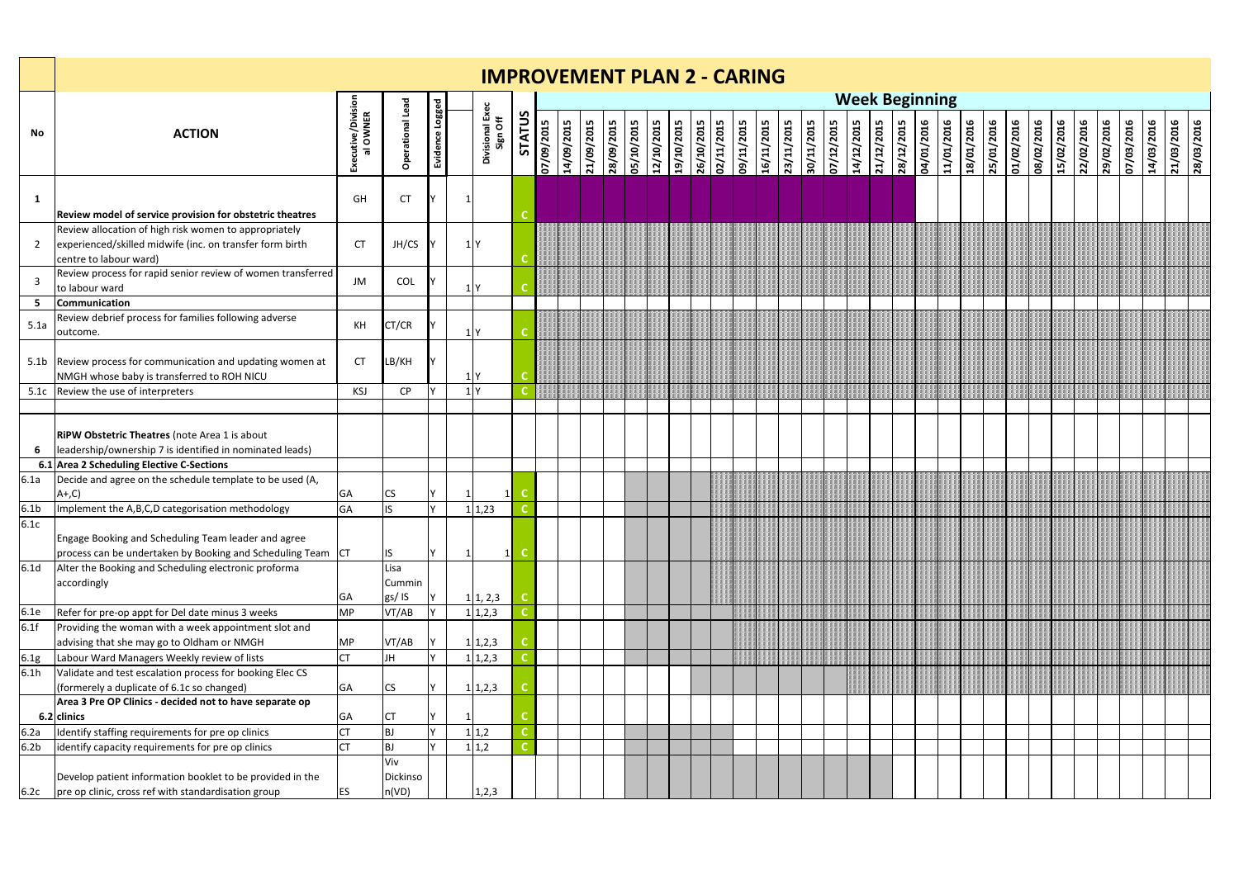|                  |                                                                                                                                                        |                                |                          |                 | <b>IMPROVEMENT PLAN 2 - CARING</b> |               |            |            |                   |                   |            |                   |            |            |            |            |                          |            |            |            |            |                       |            |            |            |            |            |            |            |            |            |            |            |            |            |
|------------------|--------------------------------------------------------------------------------------------------------------------------------------------------------|--------------------------------|--------------------------|-----------------|------------------------------------|---------------|------------|------------|-------------------|-------------------|------------|-------------------|------------|------------|------------|------------|--------------------------|------------|------------|------------|------------|-----------------------|------------|------------|------------|------------|------------|------------|------------|------------|------------|------------|------------|------------|------------|
|                  |                                                                                                                                                        |                                |                          |                 |                                    |               |            |            |                   |                   |            |                   |            |            |            |            |                          |            |            |            |            | <b>Week Beginning</b> |            |            |            |            |            |            |            |            |            |            |            |            |            |
| <b>No</b>        | <b>ACTION</b>                                                                                                                                          | Executive/Division<br>al OWNER | <b>Operational Lead</b>  | Evidence Logged | Divisional Exec<br>Sign Off        | <b>STATUS</b> | 07/09/2015 | 14/09/2015 | <b>ST02/60/TZ</b> | <b>ST0Z/60/8Z</b> | ST0Z/0T/S0 | <b>STOC/OT/ZT</b> | 19/10/2015 | 26/10/2015 | 02/11/2015 | 09/11/2015 | 16/11/2015<br>ST0Z/LT/EZ | 30/11/2015 | 07/12/2015 | 14/12/2015 | 21/12/2015 | 28/12/2015            | 9102/10/40 | 11/01/2016 | 18/01/2016 | 25/01/2016 | 01/02/2016 | 910Z/20/80 | 15/02/2016 | 22/02/2016 | 29/02/2016 | 9102/80/20 | 14/03/2016 | 21/03/2016 | 28/03/2016 |
| 1                | Review model of service provision for obstetric theatres                                                                                               | GH                             | <b>CT</b>                |                 |                                    |               |            |            |                   |                   |            |                   |            |            |            |            |                          |            |            |            |            |                       |            |            |            |            |            |            |            |            |            |            |            |            |            |
| $\overline{2}$   | Review allocation of high risk women to appropriately<br>experienced/skilled midwife (inc. on transfer form birth<br>centre to labour ward)            | <b>CT</b>                      | JH/CS                    |                 | $1$ Y                              |               |            |            |                   |                   |            |                   |            |            |            |            |                          |            |            |            |            |                       |            |            |            |            |            |            |            |            |            |            |            |            |            |
| $\overline{3}$   | Review process for rapid senior review of women transferred<br>to labour ward                                                                          | JM                             | COL                      |                 | 1 <sup>N</sup>                     |               |            |            |                   |                   |            |                   |            |            |            |            |                          |            |            |            |            |                       |            |            |            |            |            |            |            |            |            |            |            |            |            |
| 5<br>5.1a        | Communication<br>Review debrief process for families following adverse<br>outcome.                                                                     | KH                             | CT/CR                    |                 | 1Y                                 |               |            |            |                   |                   |            |                   |            |            |            |            |                          |            |            |            |            |                       |            |            |            |            |            |            |            |            |            |            |            |            |            |
|                  | 5.1b Review process for communication and updating women at<br>NMGH whose baby is transferred to ROH NICU                                              | <b>CT</b>                      | LB/KH                    |                 |                                    |               |            |            |                   |                   |            |                   |            |            |            |            |                          |            |            |            |            |                       |            |            |            |            |            |            |            |            |            |            |            |            |            |
| 5.1c             | Review the use of interpreters                                                                                                                         | KSJ                            | <b>CP</b>                |                 | 1 <sup>N</sup>                     |               |            |            |                   |                   |            |                   |            |            |            |            |                          |            |            |            |            |                       |            |            |            |            |            |            |            |            |            |            |            |            |            |
|                  |                                                                                                                                                        |                                |                          |                 |                                    |               |            |            |                   |                   |            |                   |            |            |            |            |                          |            |            |            |            |                       |            |            |            |            |            |            |            |            |            |            |            |            |            |
| 6                | RiPW Obstetric Theatres (note Area 1 is about<br>leadership/ownership 7 is identified in nominated leads)                                              |                                |                          |                 |                                    |               |            |            |                   |                   |            |                   |            |            |            |            |                          |            |            |            |            |                       |            |            |            |            |            |            |            |            |            |            |            |            |            |
|                  | 6.1 Area 2 Scheduling Elective C-Sections                                                                                                              |                                |                          |                 |                                    |               |            |            |                   |                   |            |                   |            |            |            |            |                          |            |            |            |            |                       |            |            |            |            |            |            |            |            |            |            |            |            |            |
| 6.1a             | Decide and agree on the schedule template to be used (A,<br>$A+, C)$                                                                                   | GA                             | <b>CS</b>                |                 |                                    |               |            |            |                   |                   |            |                   |            |            |            |            |                          |            |            |            |            |                       |            |            |            |            |            |            |            |            |            |            |            |            |            |
| 6.1 <sub>b</sub> | Implement the A,B,C,D categorisation methodology                                                                                                       | GA                             | IS.                      |                 | 1,23                               |               |            |            |                   |                   |            |                   |            |            |            |            |                          |            |            |            |            |                       |            |            |            |            |            |            |            |            |            |            |            |            |            |
| 6.1c             | Engage Booking and Scheduling Team leader and agree<br>process can be undertaken by Booking and Scheduling Team $ $ CT                                 |                                | IS.                      |                 | $\vert$ 1                          |               |            |            |                   |                   |            |                   |            |            |            |            |                          |            |            |            |            |                       |            |            |            |            |            |            |            |            |            |            |            |            |            |
| 6.1 <sub>d</sub> | Alter the Booking and Scheduling electronic proforma<br>accordingly                                                                                    | <b>GA</b>                      | Lisa<br>Cummin<br>gs/IS  |                 | 1 1, 2, 3                          |               |            |            |                   |                   |            |                   |            |            |            |            |                          |            |            |            |            |                       |            |            |            |            |            |            |            |            |            |            |            |            |            |
| 6.1e<br>6.1f     | Refer for pre-op appt for Del date minus 3 weeks<br>Providing the woman with a week appointment slot and<br>advising that she may go to Oldham or NMGH | <b>MP</b><br><b>MP</b>         | VT/AB<br>VT/AB           |                 | 1 1,2,3<br>1 1,2,3                 |               |            |            |                   |                   |            |                   |            |            |            |            |                          |            |            |            |            |                       |            |            |            |            |            |            |            |            |            |            |            |            |            |
| 6.1g             | Labour Ward Managers Weekly review of lists                                                                                                            | <b>CT</b>                      | <b>JH</b>                |                 | 1 1,2,3                            |               |            |            |                   |                   |            |                   |            |            |            |            |                          |            |            |            |            |                       |            |            |            |            |            |            |            |            |            |            |            |            |            |
| 6.1h             | Validate and test escalation process for booking Elec CS<br>(formerely a duplicate of 6.1c so changed)                                                 | GA                             | <b>CS</b>                |                 | 1 1,2,3                            |               |            |            |                   |                   |            |                   |            |            |            |            |                          |            |            |            |            |                       |            |            |            |            |            |            |            |            |            |            |            |            |            |
|                  | Area 3 Pre OP Clinics - decided not to have separate op                                                                                                |                                |                          |                 |                                    |               |            |            |                   |                   |            |                   |            |            |            |            |                          |            |            |            |            |                       |            |            |            |            |            |            |            |            |            |            |            |            |            |
| 6.2a             | $6.2$ clinics<br>Identify staffing requirements for pre op clinics                                                                                     | GA<br>CT                       | ICT.<br><b>BJ</b>        | Y               | 1 1,2                              |               |            |            |                   |                   |            |                   |            |            |            |            |                          |            |            |            |            |                       |            |            |            |            |            |            |            |            |            |            |            |            |            |
| 6.2 <sub>b</sub> | identify capacity requirements for pre op clinics                                                                                                      | <b>CT</b>                      | <b>BJ</b>                |                 | 1 1,2                              |               |            |            |                   |                   |            |                   |            |            |            |            |                          |            |            |            |            |                       |            |            |            |            |            |            |            |            |            |            |            |            |            |
| 6.2c             | Develop patient information booklet to be provided in the<br>pre op clinic, cross ref with standardisation group                                       | <b>ES</b>                      | Viv<br>Dickinso<br>n(VD) |                 | 1, 2, 3                            |               |            |            |                   |                   |            |                   |            |            |            |            |                          |            |            |            |            |                       |            |            |            |            |            |            |            |            |            |            |            |            |            |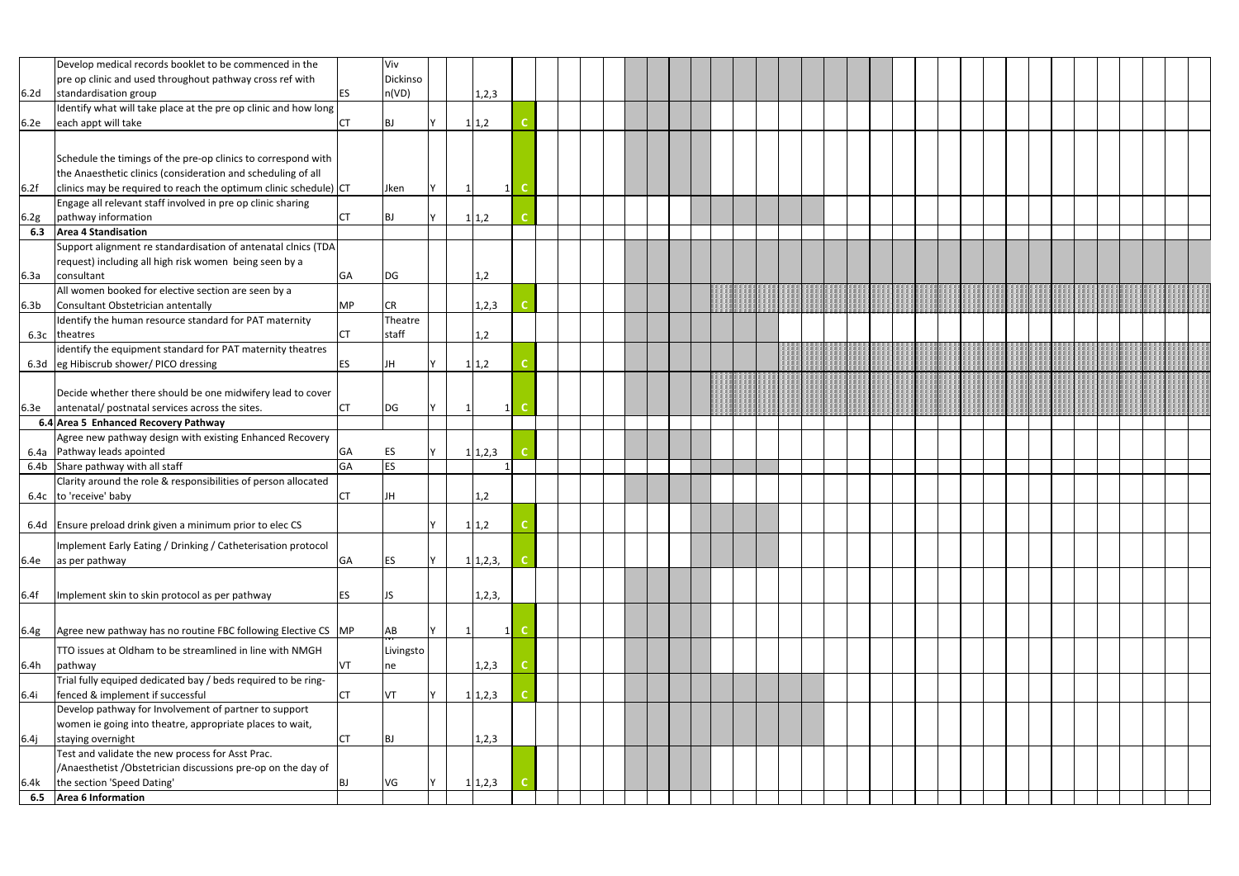|                  | Develop medical records booklet to be commenced in the           |           | Viv       |    |              |                |  |  |  |  |  |  |  |  |  |  |  |  |  |
|------------------|------------------------------------------------------------------|-----------|-----------|----|--------------|----------------|--|--|--|--|--|--|--|--|--|--|--|--|--|
|                  | pre op clinic and used throughout pathway cross ref with         |           | Dickinso  |    |              |                |  |  |  |  |  |  |  |  |  |  |  |  |  |
| 6.2 <sub>d</sub> | standardisation group                                            | ES        | n(VD)     |    | 1,2,3        |                |  |  |  |  |  |  |  |  |  |  |  |  |  |
|                  | Identify what will take place at the pre op clinic and how long  |           |           |    |              |                |  |  |  |  |  |  |  |  |  |  |  |  |  |
| 6.2e             | each appt will take                                              | СT        | <b>BJ</b> | -1 | 1,2          |                |  |  |  |  |  |  |  |  |  |  |  |  |  |
|                  |                                                                  |           |           |    |              |                |  |  |  |  |  |  |  |  |  |  |  |  |  |
|                  |                                                                  |           |           |    |              |                |  |  |  |  |  |  |  |  |  |  |  |  |  |
|                  | Schedule the timings of the pre-op clinics to correspond with    |           |           |    |              |                |  |  |  |  |  |  |  |  |  |  |  |  |  |
|                  | the Anaesthetic clinics (consideration and scheduling of all     |           |           |    |              |                |  |  |  |  |  |  |  |  |  |  |  |  |  |
| 6.2f             | clinics may be required to reach the optimum clinic schedule) CT |           | Jken      |    | $\mathbf{1}$ |                |  |  |  |  |  |  |  |  |  |  |  |  |  |
|                  | Engage all relevant staff involved in pre op clinic sharing      |           |           |    |              |                |  |  |  |  |  |  |  |  |  |  |  |  |  |
| 6.2g             | pathway information                                              | СT        | BJ        |    | 1 1,2        |                |  |  |  |  |  |  |  |  |  |  |  |  |  |
| 6.3              | <b>Area 4 Standisation</b>                                       |           |           |    |              |                |  |  |  |  |  |  |  |  |  |  |  |  |  |
|                  | Support alignment re standardisation of antenatal clnics (TDA    |           |           |    |              |                |  |  |  |  |  |  |  |  |  |  |  |  |  |
|                  | request) including all high risk women being seen by a           |           |           |    |              |                |  |  |  |  |  |  |  |  |  |  |  |  |  |
| 6.3a             | consultant                                                       | GA        | DG        |    | 1,2          |                |  |  |  |  |  |  |  |  |  |  |  |  |  |
|                  | All women booked for elective section are seen by a              |           |           |    |              |                |  |  |  |  |  |  |  |  |  |  |  |  |  |
| 6.3 <sub>b</sub> | Consultant Obstetrician antentally                               | <b>MP</b> | <b>CR</b> |    | 1,2,3        |                |  |  |  |  |  |  |  |  |  |  |  |  |  |
|                  | Identify the human resource standard for PAT maternity           |           | Theatre   |    |              |                |  |  |  |  |  |  |  |  |  |  |  |  |  |
| 6.3c             | theatres                                                         | <b>CT</b> | staff     |    | 1,2          |                |  |  |  |  |  |  |  |  |  |  |  |  |  |
|                  | identify the equipment standard for PAT maternity theatres       |           |           |    |              |                |  |  |  |  |  |  |  |  |  |  |  |  |  |
|                  | 6.3d eg Hibiscrub shower/ PICO dressing                          | ES        | JH        |    | 1 1,2        |                |  |  |  |  |  |  |  |  |  |  |  |  |  |
|                  |                                                                  |           |           |    |              |                |  |  |  |  |  |  |  |  |  |  |  |  |  |
|                  | Decide whether there should be one midwifery lead to cover       |           |           |    |              |                |  |  |  |  |  |  |  |  |  |  |  |  |  |
| 6.3e             | antenatal/ postnatal services across the sites.                  | <b>CT</b> | DG        |    |              | 1 <sup>1</sup> |  |  |  |  |  |  |  |  |  |  |  |  |  |
|                  | 6.4 Area 5 Enhanced Recovery Pathway                             |           |           |    |              |                |  |  |  |  |  |  |  |  |  |  |  |  |  |
|                  | Agree new pathway design with existing Enhanced Recovery         |           |           |    |              |                |  |  |  |  |  |  |  |  |  |  |  |  |  |
|                  | 6.4a Pathway leads apointed                                      | GA        | ES        |    | 1 1,2,3      |                |  |  |  |  |  |  |  |  |  |  |  |  |  |
|                  | 6.4b Share pathway with all staff                                | GA        | <b>ES</b> |    |              |                |  |  |  |  |  |  |  |  |  |  |  |  |  |
|                  | Clarity around the role & responsibilities of person allocated   |           |           |    |              |                |  |  |  |  |  |  |  |  |  |  |  |  |  |
|                  | 6.4c to 'receive' baby                                           | СT        | JH        |    | 1,2          |                |  |  |  |  |  |  |  |  |  |  |  |  |  |
|                  |                                                                  |           |           |    |              |                |  |  |  |  |  |  |  |  |  |  |  |  |  |
|                  | 6.4d Ensure preload drink given a minimum prior to elec CS       |           |           |    | 1 1,2        |                |  |  |  |  |  |  |  |  |  |  |  |  |  |
|                  | Implement Early Eating / Drinking / Catheterisation protocol     |           |           |    |              |                |  |  |  |  |  |  |  |  |  |  |  |  |  |
|                  |                                                                  |           |           |    |              |                |  |  |  |  |  |  |  |  |  |  |  |  |  |
| 6.4e             | as per pathway                                                   | GA        | <b>ES</b> |    | 1 1,2,3,     |                |  |  |  |  |  |  |  |  |  |  |  |  |  |
|                  |                                                                  |           |           |    |              |                |  |  |  |  |  |  |  |  |  |  |  |  |  |
| 6.4f             | Implement skin to skin protocol as per pathway                   | ES        | <b>JS</b> |    | 1, 2, 3,     |                |  |  |  |  |  |  |  |  |  |  |  |  |  |
|                  |                                                                  |           |           |    |              |                |  |  |  |  |  |  |  |  |  |  |  |  |  |
| 6.4g             | Agree new pathway has no routine FBC following Elective CS MP    |           | AB        |    | 1            |                |  |  |  |  |  |  |  |  |  |  |  |  |  |
|                  |                                                                  |           |           |    |              |                |  |  |  |  |  |  |  |  |  |  |  |  |  |
|                  | TTO issues at Oldham to be streamlined in line with NMGH         |           | Livingsto |    |              |                |  |  |  |  |  |  |  |  |  |  |  |  |  |
| 6.4h             | pathway                                                          | VT        | ne        |    | 1, 2, 3      |                |  |  |  |  |  |  |  |  |  |  |  |  |  |
|                  | Trial fully equiped dedicated bay / beds required to be ring-    |           |           |    |              |                |  |  |  |  |  |  |  |  |  |  |  |  |  |
| 6.4i             | fenced & implement if successful                                 | <b>CT</b> | VT        |    | 1 1,2,3      |                |  |  |  |  |  |  |  |  |  |  |  |  |  |
|                  | Develop pathway for Involvement of partner to support            |           |           |    |              |                |  |  |  |  |  |  |  |  |  |  |  |  |  |
|                  | women ie going into theatre, appropriate places to wait,         |           |           |    |              |                |  |  |  |  |  |  |  |  |  |  |  |  |  |
| 6.4j             | staying overnight                                                | <b>CT</b> | BJ        |    | 1,2,3        |                |  |  |  |  |  |  |  |  |  |  |  |  |  |
|                  | Test and validate the new process for Asst Prac.                 |           |           |    |              |                |  |  |  |  |  |  |  |  |  |  |  |  |  |
|                  | /Anaesthetist / Obstetrician discussions pre-op on the day of    |           |           |    |              |                |  |  |  |  |  |  |  |  |  |  |  |  |  |
| 6.4k             | the section 'Speed Dating'                                       | BJ        | <b>VG</b> |    | 1 1,2,3      |                |  |  |  |  |  |  |  |  |  |  |  |  |  |
| 6.5              | Area 6 Information                                               |           |           |    |              |                |  |  |  |  |  |  |  |  |  |  |  |  |  |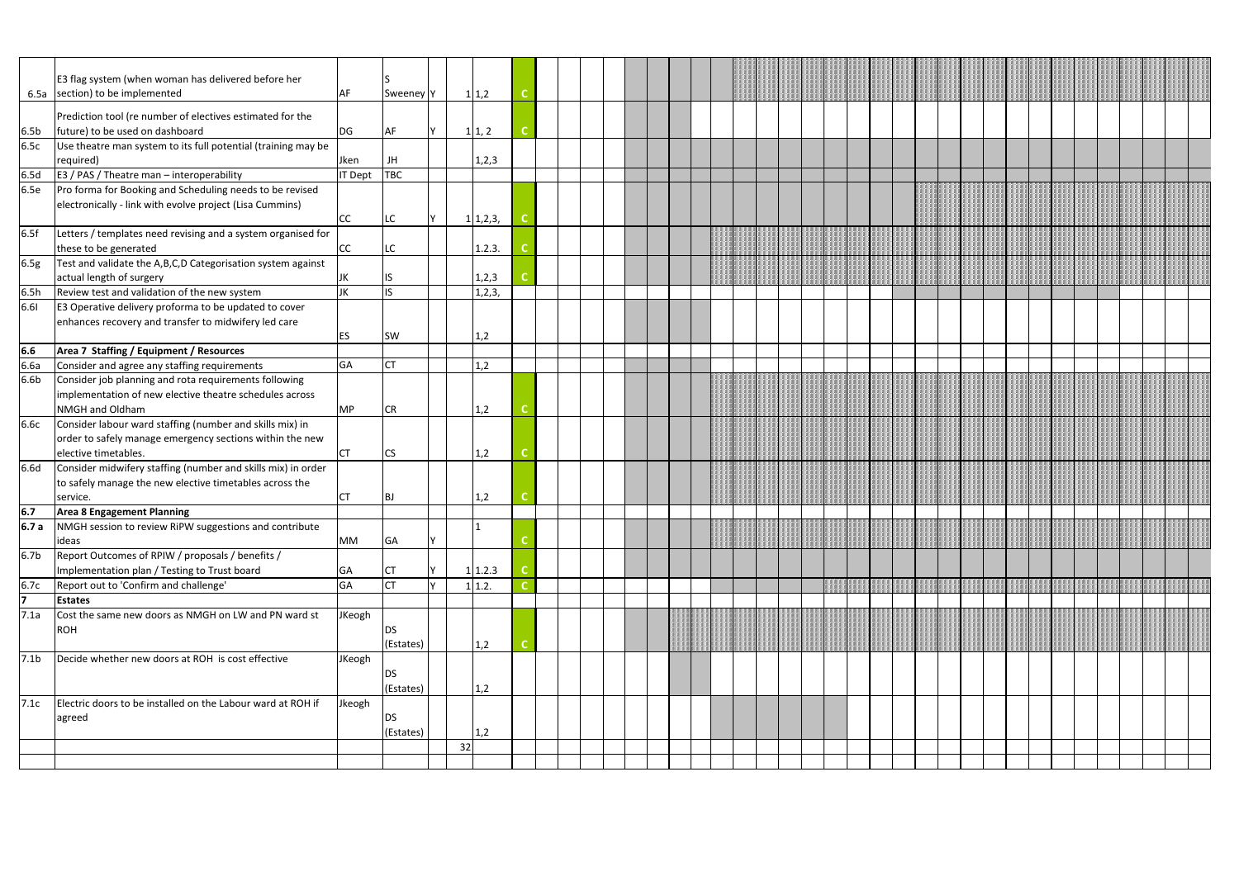|                  | E3 flag system (when woman has delivered before her<br>6.5a section) to be implemented                                                       | AF        | Sweeney <sup>Y</sup> |    | 1 1,2    |  |  |  |  |  |  |  |  |  |  |  |  |  |
|------------------|----------------------------------------------------------------------------------------------------------------------------------------------|-----------|----------------------|----|----------|--|--|--|--|--|--|--|--|--|--|--|--|--|
| 6.5 <sub>b</sub> | Prediction tool (re number of electives estimated for the<br>future) to be used on dashboard                                                 | DG        | AF                   |    | 1 1, 2   |  |  |  |  |  |  |  |  |  |  |  |  |  |
| 6.5c             | Use theatre man system to its full potential (training may be<br>required)                                                                   | Jken      | JH                   |    | 1,2,3    |  |  |  |  |  |  |  |  |  |  |  |  |  |
| 6.5d             | E3 / PAS / Theatre man - interoperability                                                                                                    | IT Dept   | <b>TBC</b>           |    |          |  |  |  |  |  |  |  |  |  |  |  |  |  |
| 6.5e             | Pro forma for Booking and Scheduling needs to be revised<br>electronically - link with evolve project (Lisa Cummins)                         | CC        | LC                   |    | 1 1,2,3, |  |  |  |  |  |  |  |  |  |  |  |  |  |
| 6.5f             | Letters / templates need revising and a system organised for<br>these to be generated                                                        | cc        | LC.                  |    | 1.2.3.   |  |  |  |  |  |  |  |  |  |  |  |  |  |
| 6.5g             | Test and validate the A,B,C,D Categorisation system against<br>actual length of surgery                                                      | JK        | IS.                  |    | 1,2,3    |  |  |  |  |  |  |  |  |  |  |  |  |  |
| 6.5h             | Review test and validation of the new system                                                                                                 | JK        | IS.                  |    | 1,2,3,   |  |  |  |  |  |  |  |  |  |  |  |  |  |
| 6.61             | E3 Operative delivery proforma to be updated to cover<br>enhances recovery and transfer to midwifery led care                                | ES        | <b>SW</b>            |    | 1,2      |  |  |  |  |  |  |  |  |  |  |  |  |  |
| 6.6              | Area 7 Staffing / Equipment / Resources                                                                                                      |           |                      |    |          |  |  |  |  |  |  |  |  |  |  |  |  |  |
| 6.6a             | Consider and agree any staffing requirements                                                                                                 | <b>GA</b> | <b>ICT</b>           |    | 1,2      |  |  |  |  |  |  |  |  |  |  |  |  |  |
| 6.6 <sub>b</sub> | Consider job planning and rota requirements following<br>implementation of new elective theatre schedules across<br>NMGH and Oldham          | <b>MP</b> | <b>CR</b>            |    | 1,2      |  |  |  |  |  |  |  |  |  |  |  |  |  |
| 6.6c             | Consider labour ward staffing (number and skills mix) in<br>order to safely manage emergency sections within the new<br>elective timetables. | <b>CT</b> | <b>CS</b>            |    | 1,2      |  |  |  |  |  |  |  |  |  |  |  |  |  |
| 6.6d             | Consider midwifery staffing (number and skills mix) in order<br>to safely manage the new elective timetables across the<br>service.          | CT        | <b>BJ</b>            |    | 1,2      |  |  |  |  |  |  |  |  |  |  |  |  |  |
| 6.7              | Area 8 Engagement Planning                                                                                                                   |           |                      |    |          |  |  |  |  |  |  |  |  |  |  |  |  |  |
| 6.7 a            | NMGH session to review RiPW suggestions and contribute<br>ideas                                                                              | <b>MM</b> | GA                   |    |          |  |  |  |  |  |  |  |  |  |  |  |  |  |
| 6.7 <sub>b</sub> | Report Outcomes of RPIW / proposals / benefits /<br>Implementation plan / Testing to Trust board                                             | GA        | ICT                  |    | 1 1.2.3  |  |  |  |  |  |  |  |  |  |  |  |  |  |
| 6.7c             | Report out to 'Confirm and challenge'                                                                                                        | GA        | <b>CT</b>            |    | 1 1.2.   |  |  |  |  |  |  |  |  |  |  |  |  |  |
| 17               | <b>Estates</b>                                                                                                                               |           |                      |    |          |  |  |  |  |  |  |  |  |  |  |  |  |  |
| 7.1a             | Cost the same new doors as NMGH on LW and PN ward st<br><b>ROH</b>                                                                           | JKeogh    | DS<br>(Estates)      |    | 1,2      |  |  |  |  |  |  |  |  |  |  |  |  |  |
| 7.1 <sub>b</sub> | Decide whether new doors at ROH is cost effective                                                                                            | JKeogh    | DS<br>(Estates)      |    | 1,2      |  |  |  |  |  |  |  |  |  |  |  |  |  |
| 7.1c             | Electric doors to be installed on the Labour ward at ROH if<br>agreed                                                                        | Jkeogh    | DS<br>(Estates)      |    | 1,2      |  |  |  |  |  |  |  |  |  |  |  |  |  |
|                  |                                                                                                                                              |           |                      | 32 |          |  |  |  |  |  |  |  |  |  |  |  |  |  |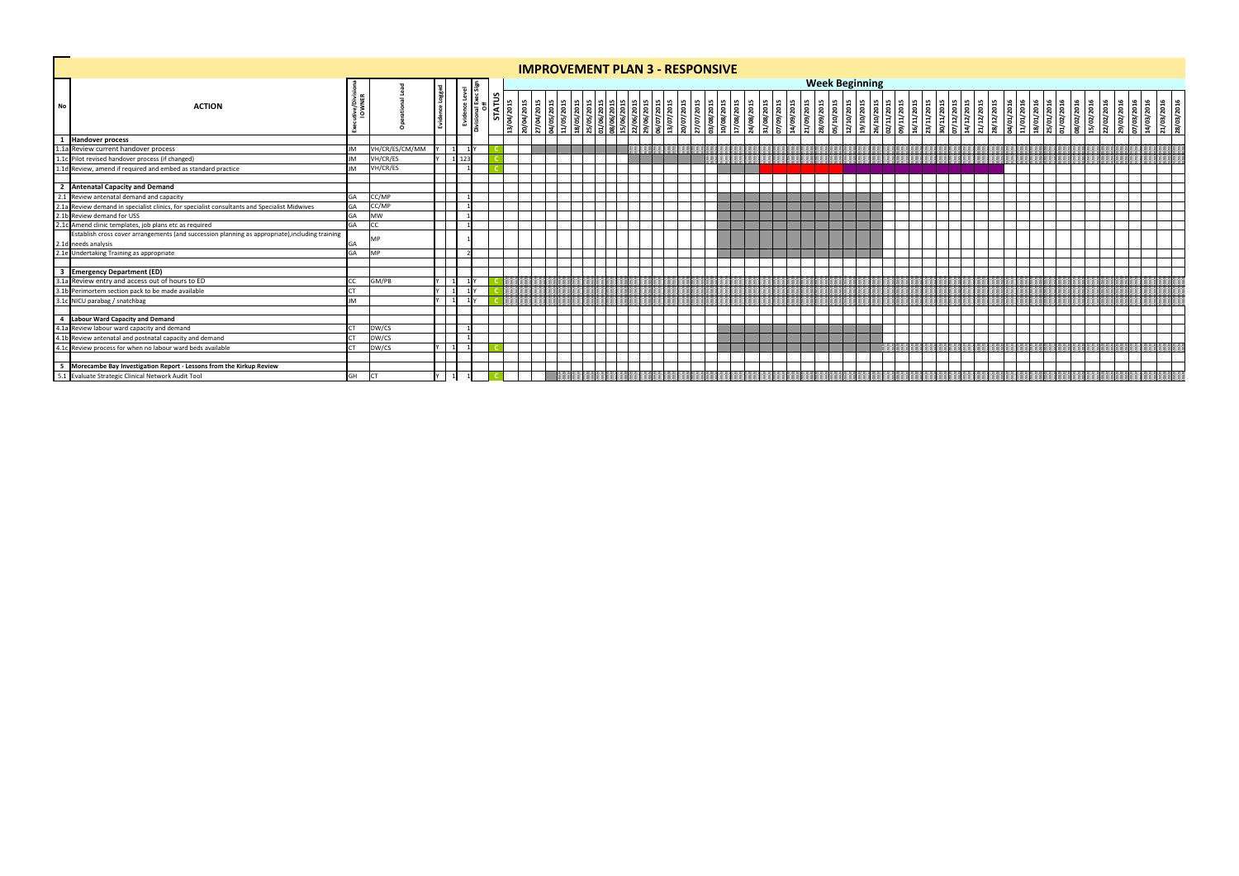|           |                                                                                                                                                                                                                                        |             |                |         |  |                    |            |           |  |  | <b>IMPROVEMENT PLAN 3 - RESPONSIVE</b>                                                                                     |  |           |                               |                    |                               |                          |                       |                          |  |  |  |                                                                                                                                          |  |  |                          |            |            |                                                      |  |
|-----------|----------------------------------------------------------------------------------------------------------------------------------------------------------------------------------------------------------------------------------------|-------------|----------------|---------|--|--------------------|------------|-----------|--|--|----------------------------------------------------------------------------------------------------------------------------|--|-----------|-------------------------------|--------------------|-------------------------------|--------------------------|-----------------------|--------------------------|--|--|--|------------------------------------------------------------------------------------------------------------------------------------------|--|--|--------------------------|------------|------------|------------------------------------------------------|--|
| ۳         |                                                                                                                                                                                                                                        |             |                |         |  |                    |            |           |  |  |                                                                                                                            |  |           |                               |                    |                               |                          | <b>Week Beginning</b> |                          |  |  |  |                                                                                                                                          |  |  |                          |            |            |                                                      |  |
| <b>No</b> | <b>ACTION</b>                                                                                                                                                                                                                          | Mon<br>1197 |                |         |  | STATL<br>3/04/2015 | 20/04/2015 | 100(2015) |  |  | 04/05/2015<br>11/05/2015<br>11/05/2015<br>15/06/2015<br>15/06/2015<br>15/06/2015<br>19/07/2015<br>10/07/2015<br>19/07/2015 |  | 7/07/2015 | 08/2015<br>08/2015<br>08/2015 | 08/2015<br>08/2015 | 09/2015<br>09/2015<br>09/2015 | 28/09/2015<br>05/10/2015 |                       | 12/10/2015<br>19/10/2015 |  |  |  | 16/10/2015<br>02/11/2015<br>03/11/2015<br>03/11/2015<br>03/12/2015<br>04/01/2016<br>04/01/2016<br>01/01/2016<br>18/01/2016<br>18/01/2016 |  |  | 08/02/2016<br>15/02/2016 | 22/02/2016 | 29/02/2016 | 07/03/2016<br>14/03/2016<br>21/03/2016<br>28/03/2016 |  |
|           | 1 Handover process                                                                                                                                                                                                                     |             |                |         |  |                    |            |           |  |  |                                                                                                                            |  |           |                               |                    |                               |                          |                       |                          |  |  |  |                                                                                                                                          |  |  |                          |            |            |                                                      |  |
|           |                                                                                                                                                                                                                                        |             | VH/CR/ES/CM/MM |         |  |                    |            |           |  |  |                                                                                                                            |  |           |                               |                    |                               |                          |                       |                          |  |  |  |                                                                                                                                          |  |  |                          |            |            |                                                      |  |
|           |                                                                                                                                                                                                                                        |             | VH/CR/ES       | 1 1 2 3 |  |                    |            |           |  |  |                                                                                                                            |  |           |                               |                    |                               |                          |                       |                          |  |  |  |                                                                                                                                          |  |  |                          |            |            |                                                      |  |
|           | 1.11 Review current handover process<br>1.12 Pilot revised handover process (if changed)<br>1.1d Review, amend if required and embed as standard practice                                                                              |             | VH/CR/ES       |         |  |                    |            |           |  |  |                                                                                                                            |  |           |                               |                    |                               |                          |                       |                          |  |  |  |                                                                                                                                          |  |  |                          |            |            |                                                      |  |
|           | 2 Antenatal Capacity and Demand                                                                                                                                                                                                        |             |                |         |  |                    |            |           |  |  |                                                                                                                            |  |           |                               |                    |                               |                          |                       |                          |  |  |  |                                                                                                                                          |  |  |                          |            |            |                                                      |  |
|           | 2 Antenatal Capacity and Demand<br>2.1 Review antenatal demand and capacity<br>2.1a Review demand in specialist clinics, for specialist consultants and Specialist Midwives<br>2.1b Review demand for USS<br>2.1c Anneh clinic templat |             | CC/MP          |         |  |                    |            |           |  |  |                                                                                                                            |  |           |                               |                    |                               |                          |                       |                          |  |  |  |                                                                                                                                          |  |  |                          |            |            |                                                      |  |
|           |                                                                                                                                                                                                                                        |             | CC/MP          |         |  |                    |            |           |  |  |                                                                                                                            |  |           |                               |                    |                               |                          |                       |                          |  |  |  |                                                                                                                                          |  |  |                          |            |            |                                                      |  |
|           |                                                                                                                                                                                                                                        |             | <b>MW</b>      |         |  |                    |            |           |  |  |                                                                                                                            |  |           |                               |                    |                               |                          |                       |                          |  |  |  |                                                                                                                                          |  |  |                          |            |            |                                                      |  |
|           |                                                                                                                                                                                                                                        | GА          |                |         |  |                    |            |           |  |  |                                                                                                                            |  |           |                               |                    |                               |                          |                       |                          |  |  |  |                                                                                                                                          |  |  |                          |            |            |                                                      |  |
|           | Establish cross cover arrangements (and succession planning as appropriate), including training                                                                                                                                        |             | <b>MP</b>      |         |  |                    |            |           |  |  |                                                                                                                            |  |           |                               |                    |                               |                          |                       |                          |  |  |  |                                                                                                                                          |  |  |                          |            |            |                                                      |  |
|           | 2.1d needs analysis<br>2.1e Undertaking Training as appropriate                                                                                                                                                                        |             | <b>MP</b>      |         |  |                    |            |           |  |  |                                                                                                                            |  |           |                               |                    |                               |                          |                       |                          |  |  |  |                                                                                                                                          |  |  |                          |            |            |                                                      |  |
|           |                                                                                                                                                                                                                                        |             |                |         |  |                    |            |           |  |  |                                                                                                                            |  |           |                               |                    |                               |                          |                       |                          |  |  |  |                                                                                                                                          |  |  |                          |            |            |                                                      |  |
|           |                                                                                                                                                                                                                                        |             |                |         |  |                    |            |           |  |  |                                                                                                                            |  |           |                               |                    |                               |                          |                       |                          |  |  |  |                                                                                                                                          |  |  |                          |            |            |                                                      |  |
|           |                                                                                                                                                                                                                                        |             | GM/PB          |         |  |                    |            |           |  |  |                                                                                                                            |  |           |                               |                    |                               |                          |                       |                          |  |  |  |                                                                                                                                          |  |  |                          |            |            |                                                      |  |
|           |                                                                                                                                                                                                                                        |             |                |         |  |                    |            |           |  |  |                                                                                                                            |  |           |                               |                    |                               |                          |                       |                          |  |  |  |                                                                                                                                          |  |  |                          |            |            |                                                      |  |
|           | 3 Emergency Department (ED)<br>3.1a Review entry and access out of hours to ED<br>3.1b Perimortem section pack to be made available<br>3.1c NICU parabag / snatchbag                                                                   | IМ          |                |         |  |                    |            |           |  |  |                                                                                                                            |  |           |                               |                    |                               |                          |                       |                          |  |  |  |                                                                                                                                          |  |  |                          |            |            |                                                      |  |
|           | 4 Labour Ward Capacity and Demand<br>4.1a Review labour ward capacity and demand<br>4.1b Review antenatal and postnatal capacity and demand<br>4.1c Review process for when no labour ward beds available                              |             |                |         |  |                    |            |           |  |  |                                                                                                                            |  |           |                               |                    |                               |                          |                       |                          |  |  |  |                                                                                                                                          |  |  |                          |            |            |                                                      |  |
|           |                                                                                                                                                                                                                                        |             | DW/CS          |         |  |                    |            |           |  |  |                                                                                                                            |  |           |                               |                    |                               |                          |                       |                          |  |  |  |                                                                                                                                          |  |  |                          |            |            |                                                      |  |
|           |                                                                                                                                                                                                                                        |             | DW/CS          |         |  |                    |            |           |  |  |                                                                                                                            |  |           |                               |                    |                               |                          |                       |                          |  |  |  |                                                                                                                                          |  |  |                          |            |            |                                                      |  |
|           |                                                                                                                                                                                                                                        |             | DW/CS          |         |  |                    |            |           |  |  |                                                                                                                            |  |           |                               |                    |                               |                          |                       |                          |  |  |  |                                                                                                                                          |  |  |                          |            |            |                                                      |  |
|           |                                                                                                                                                                                                                                        |             |                |         |  |                    |            |           |  |  |                                                                                                                            |  |           |                               |                    |                               |                          |                       |                          |  |  |  |                                                                                                                                          |  |  |                          |            |            |                                                      |  |
|           | 5 Morecambe Bay Investigation Report - Lessons from the Kirkup Review<br>5.1 Evaluate Strategic Clinical Network Audit Tool                                                                                                            |             |                |         |  |                    |            |           |  |  |                                                                                                                            |  |           |                               |                    |                               |                          |                       |                          |  |  |  |                                                                                                                                          |  |  |                          |            |            |                                                      |  |
|           |                                                                                                                                                                                                                                        | GH          |                |         |  |                    |            |           |  |  |                                                                                                                            |  |           |                               |                    |                               |                          |                       |                          |  |  |  |                                                                                                                                          |  |  |                          |            |            |                                                      |  |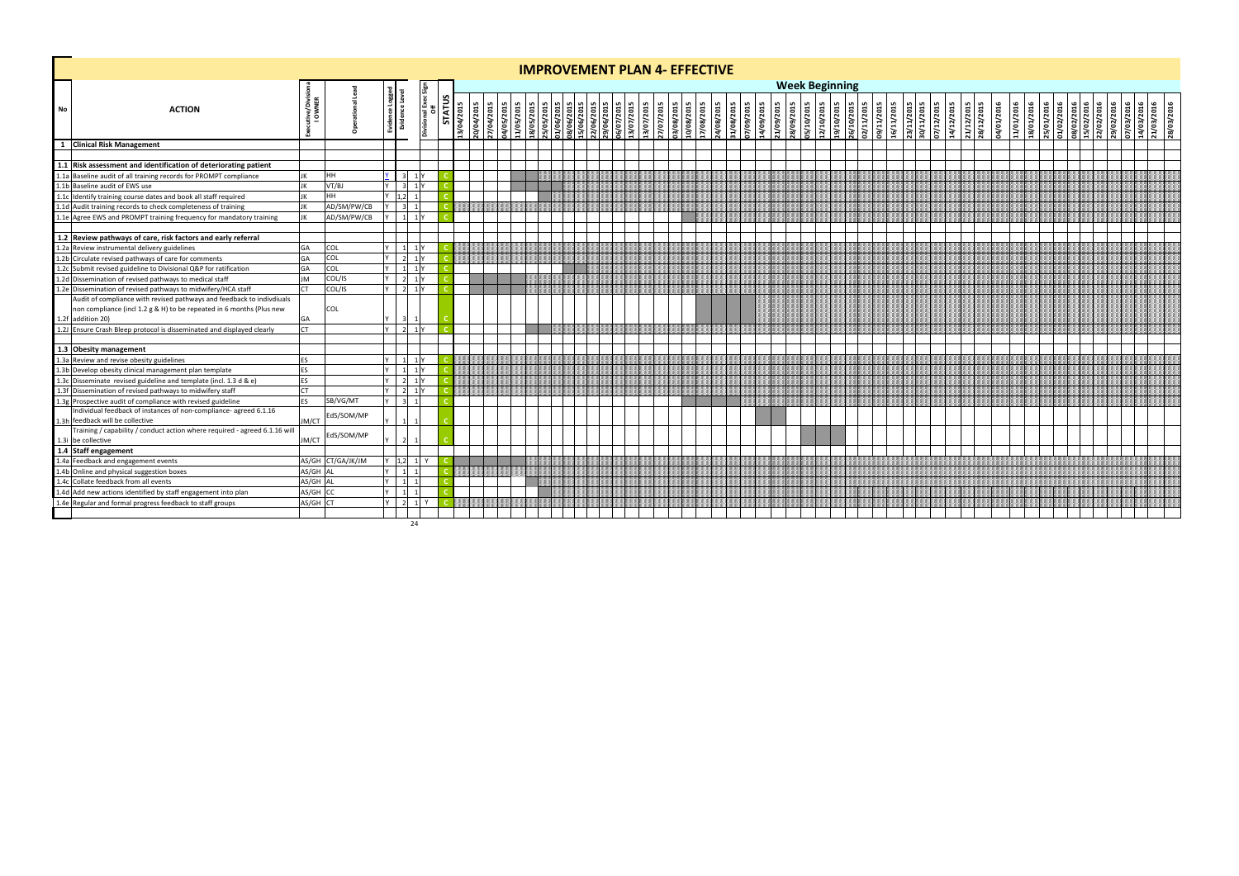|      |                                                                                                                                                                    |           |                   |                |                           |                             |            |            |                          |                          |  | <b>IMPROVEMENT PLAN 4- EFFECTIVE</b>                               |                          |            |            |            |                         |           |           |           |           |                         |            |                          |                                                      |  |                          |            |            |            |                         |                          |                                                      |  |                                                                    |            |
|------|--------------------------------------------------------------------------------------------------------------------------------------------------------------------|-----------|-------------------|----------------|---------------------------|-----------------------------|------------|------------|--------------------------|--------------------------|--|--------------------------------------------------------------------|--------------------------|------------|------------|------------|-------------------------|-----------|-----------|-----------|-----------|-------------------------|------------|--------------------------|------------------------------------------------------|--|--------------------------|------------|------------|------------|-------------------------|--------------------------|------------------------------------------------------|--|--------------------------------------------------------------------|------------|
|      |                                                                                                                                                                    |           |                   |                |                           |                             |            |            |                          |                          |  |                                                                    |                          |            |            |            |                         |           |           |           |           | <b>Week Beginning</b>   |            |                          |                                                      |  |                          |            |            |            |                         |                          |                                                      |  |                                                                    |            |
| No   | <b>ACTION</b>                                                                                                                                                      | š         |                   |                | al Exec<br>Off<br>Divisio | <b>STATUS</b><br>13/04/2015 | 20/04/2015 | 27/04/2015 | 04/05/2015<br>11/05/2015 | 18/05/2015<br>25/05/2015 |  | 01/06/2015<br>08/06/2015<br>15/06/2015<br>22/06/2015<br>29/06/2015 | 06/07/2015<br>13/07/2015 | 13/07/2015 | 27/07/2015 | 2102/90/80 | 10/08/2015<br>7/08/2015 | 4/08/2015 | 1/08/2015 | 7/09/2015 | 4/09/2015 | 1/09/2015<br>28/09/2015 | 35/10/2015 | 19/10/2015<br>STOZ/OT/ZT | 26/10/2015<br>02/11/2015<br>09/11/2015<br>16/11/2015 |  | 23/11/2015<br>30/11/2015 | 07/12/2015 | 14/12/2015 | 5102/21/12 | 28/12/2015<br>9107/2016 | 11/01/2016<br>18/01/2016 | 25/01/2016<br>01/02/2016<br>08/02/2016<br>15/02/2016 |  | 22/02/2016<br>29/02/2016<br>07/03/2016<br>14/03/2016<br>21/03/2016 | 28/03/2016 |
|      | 1 Clinical Risk Management                                                                                                                                         |           |                   |                |                           |                             |            |            |                          |                          |  |                                                                    |                          |            |            |            |                         |           |           |           |           |                         |            |                          |                                                      |  |                          |            |            |            |                         |                          |                                                      |  |                                                                    |            |
|      |                                                                                                                                                                    |           |                   |                |                           |                             |            |            |                          |                          |  |                                                                    |                          |            |            |            |                         |           |           |           |           |                         |            |                          |                                                      |  |                          |            |            |            |                         |                          |                                                      |  |                                                                    |            |
|      | 1.1 Risk assessment and identification of deteriorating patient                                                                                                    |           |                   |                |                           |                             |            |            |                          |                          |  |                                                                    |                          |            |            |            |                         |           |           |           |           |                         |            |                          |                                                      |  |                          |            |            |            |                         |                          |                                                      |  |                                                                    |            |
|      | 1.1a Baseline audit of all training records for PROMPT compliance                                                                                                  |           | <b>HH</b>         | $3 \t1$        |                           |                             |            |            |                          |                          |  |                                                                    |                          |            |            |            |                         |           |           |           |           |                         |            |                          |                                                      |  |                          |            |            |            |                         |                          |                                                      |  |                                                                    |            |
|      | 1.1b Baseline audit of EWS use                                                                                                                                     |           | VT/BJ             |                | $3 \mid 1$ Y              |                             |            |            |                          |                          |  |                                                                    |                          |            |            |            |                         |           |           |           |           |                         |            |                          |                                                      |  |                          |            |            |            |                         |                          |                                                      |  |                                                                    |            |
|      | 1.1c Identify training course dates and book all staff required                                                                                                    |           | HH                | 1,2            |                           |                             |            |            |                          |                          |  |                                                                    |                          |            |            |            |                         |           |           |           |           |                         |            |                          |                                                      |  |                          |            |            |            |                         |                          |                                                      |  |                                                                    |            |
|      | 1.1d Audit training records to check completeness of training                                                                                                      |           | AD/SM/PW/CB       | $3 \mid 1$     |                           |                             |            |            |                          |                          |  |                                                                    |                          |            |            |            |                         |           |           |           |           |                         |            |                          |                                                      |  |                          |            |            |            |                         |                          |                                                      |  |                                                                    |            |
|      | 1.1e Agree EWS and PROMPT training frequency for mandatory training                                                                                                |           | AD/SM/PW/CB       |                | $1 \mid 1 \mid Y$         |                             |            |            |                          |                          |  |                                                                    |                          |            |            |            |                         |           |           |           |           |                         |            |                          |                                                      |  |                          |            |            |            |                         |                          |                                                      |  |                                                                    |            |
|      |                                                                                                                                                                    |           |                   |                |                           |                             |            |            |                          |                          |  |                                                                    |                          |            |            |            |                         |           |           |           |           |                         |            |                          |                                                      |  |                          |            |            |            |                         |                          |                                                      |  |                                                                    |            |
|      | 1.2 Review pathways of care, risk factors and early referral                                                                                                       |           |                   |                |                           |                             |            |            |                          |                          |  |                                                                    |                          |            |            |            |                         |           |           |           |           |                         |            |                          |                                                      |  |                          |            |            |            |                         |                          |                                                      |  |                                                                    |            |
|      | 1.2a Review instrumental delivery guidelines                                                                                                                       | <b>GA</b> | <b>COL</b>        |                | $1 \quad 1 \mid Y$        |                             |            |            |                          |                          |  |                                                                    |                          |            |            |            |                         |           |           |           |           |                         |            |                          |                                                      |  |                          |            |            |            |                         |                          |                                                      |  |                                                                    |            |
|      | 1.2b Circulate revised pathways of care for comments                                                                                                               | GI        | COL               | $2$ 1Y         |                           |                             |            |            |                          |                          |  |                                                                    |                          |            |            |            |                         |           |           |           |           |                         |            |                          |                                                      |  |                          |            |            |            |                         |                          |                                                      |  |                                                                    |            |
|      | 1.2c Submit revised guideline to Divisional Q&P for ratification                                                                                                   |           | COL               |                | $1 \quad 1 \mid Y$        |                             |            |            |                          |                          |  |                                                                    |                          |            |            |            |                         |           |           |           |           |                         |            |                          |                                                      |  |                          |            |            |            |                         |                          |                                                      |  |                                                                    |            |
|      | 1.2d Dissemination of revised pathways to medical staff                                                                                                            | <b>JM</b> | COL/IS            |                | $2 \mid 1 \mid Y$         |                             |            |            |                          |                          |  |                                                                    |                          |            |            |            |                         |           |           |           |           |                         |            |                          |                                                      |  |                          |            |            |            |                         |                          |                                                      |  |                                                                    |            |
|      | 1.2e Dissemination of revised pathways to midwifery/HCA staff                                                                                                      | $\Gamma$  | COL/IS            |                | $2 \t1$                   |                             |            |            |                          |                          |  |                                                                    |                          |            |            |            |                         |           |           |           |           |                         |            |                          |                                                      |  |                          |            |            |            |                         |                          |                                                      |  |                                                                    |            |
|      | Audit of compliance with revised pathways and feedback to indivdiuals<br>non compliance (incl 1.2 g & H) to be repeated in 6 months (Plus new<br>1.2f addition 20) |           | <b>COL</b>        |                |                           |                             |            |            |                          |                          |  |                                                                    |                          |            |            |            |                         |           |           |           |           |                         |            |                          |                                                      |  |                          |            |            |            |                         |                          |                                                      |  |                                                                    |            |
|      | 1.2J Ensure Crash Bleep protocol is disseminated and displayed clearly                                                                                             | <b>CT</b> |                   |                | $2 \t1$ Y                 |                             |            |            |                          |                          |  |                                                                    |                          |            |            |            |                         |           |           |           |           |                         |            |                          |                                                      |  |                          |            |            |            |                         |                          |                                                      |  |                                                                    |            |
|      |                                                                                                                                                                    |           |                   |                |                           |                             |            |            |                          |                          |  |                                                                    |                          |            |            |            |                         |           |           |           |           |                         |            |                          |                                                      |  |                          |            |            |            |                         |                          |                                                      |  |                                                                    |            |
|      | 1.3 Obesity management                                                                                                                                             |           |                   |                |                           |                             |            |            |                          |                          |  |                                                                    |                          |            |            |            |                         |           |           |           |           |                         |            |                          |                                                      |  |                          |            |            |            |                         |                          |                                                      |  |                                                                    |            |
|      | 1.3a Review and revise obesity guidelines                                                                                                                          | <b>ES</b> |                   |                | $1 \quad 1 \mid Y$        |                             |            |            |                          |                          |  |                                                                    |                          |            |            |            |                         |           |           |           |           |                         |            |                          |                                                      |  |                          |            |            |            |                         |                          |                                                      |  |                                                                    |            |
|      | 1.3b Develop obesity clinical management plan template                                                                                                             | <b>ES</b> |                   |                | $1 \quad 1 \mid Y$        |                             |            |            |                          |                          |  |                                                                    |                          |            |            |            |                         |           |           |           |           |                         |            |                          |                                                      |  |                          |            |            |            |                         |                          |                                                      |  |                                                                    |            |
|      | 1.3c Disseminate revised guideline and template (incl. 1.3 d & e)                                                                                                  | <b>ES</b> |                   |                | $2 \t1Y$                  |                             |            |            |                          |                          |  |                                                                    |                          |            |            |            |                         |           |           |           |           |                         |            |                          |                                                      |  |                          |            |            |            |                         |                          |                                                      |  |                                                                    |            |
| 1.3f | Dissemination of revised pathways to midwifery staff                                                                                                               | <b>CT</b> |                   |                | $2 \mid 1 \mid Y$         |                             |            |            |                          |                          |  |                                                                    |                          |            |            |            |                         |           |           |           |           |                         |            |                          |                                                      |  |                          |            |            |            |                         |                          |                                                      |  |                                                                    |            |
|      | 1.3g Prospective audit of compliance with revised guideline                                                                                                        | <b>FS</b> | SB/VG/MT          | $\overline{3}$ |                           |                             |            |            |                          |                          |  |                                                                    |                          |            |            |            |                         |           |           |           |           |                         |            |                          |                                                      |  |                          |            |            |            |                         |                          |                                                      |  |                                                                    |            |
|      | Individual feedback of instances of non-compliance- agreed 6.1.16<br>1.3h feedback will be collective                                                              | JM/CT     | dS/SOM/MP         |                |                           |                             |            |            |                          |                          |  |                                                                    |                          |            |            |            |                         |           |           |           |           |                         |            |                          |                                                      |  |                          |            |            |            |                         |                          |                                                      |  |                                                                    |            |
|      | Training / capability / conduct action where required - agreed 6.1.16 will<br>1.3i be collective                                                                   | JM/CT     | dS/SOM/MP         |                |                           |                             |            |            |                          |                          |  |                                                                    |                          |            |            |            |                         |           |           |           |           |                         |            |                          |                                                      |  |                          |            |            |            |                         |                          |                                                      |  |                                                                    |            |
|      | 1.4 Staff engagement                                                                                                                                               |           |                   |                |                           |                             |            |            |                          |                          |  |                                                                    |                          |            |            |            |                         |           |           |           |           |                         |            |                          |                                                      |  |                          |            |            |            |                         |                          |                                                      |  |                                                                    |            |
| 1.4a | Feedback and engagement events                                                                                                                                     |           | AS/GH CT/GA/JK/JM | 1,2            |                           |                             |            |            |                          |                          |  |                                                                    |                          |            |            |            |                         |           |           |           |           |                         |            |                          |                                                      |  |                          |            |            |            |                         |                          |                                                      |  |                                                                    |            |
|      | 1.4b Online and physical suggestion boxes                                                                                                                          | AS/GH     |                   | $1 \quad 1$    |                           |                             |            |            |                          |                          |  |                                                                    |                          |            |            |            |                         |           |           |           |           |                         |            |                          |                                                      |  |                          |            |            |            |                         |                          |                                                      |  |                                                                    |            |
|      | 1.4c Collate feedback from all events                                                                                                                              | AS/GH     |                   | 1              |                           |                             |            |            |                          |                          |  |                                                                    |                          |            |            |            |                         |           |           |           |           |                         |            |                          |                                                      |  |                          |            |            |            |                         |                          |                                                      |  |                                                                    |            |
|      | 1.4d Add new actions identified by staff engagement into plan                                                                                                      | AS/GH     |                   | 1              |                           |                             |            |            |                          |                          |  |                                                                    |                          |            |            |            |                         |           |           |           |           |                         |            |                          |                                                      |  |                          |            |            |            |                         |                          |                                                      |  |                                                                    |            |
|      | 1.4e Regular and formal progress feedback to staff groups                                                                                                          | AS/GH CT  |                   |                | $2 \t1 Y$                 |                             |            |            |                          |                          |  |                                                                    |                          |            |            |            |                         |           |           |           |           |                         |            |                          |                                                      |  |                          |            |            |            |                         |                          |                                                      |  |                                                                    |            |
|      |                                                                                                                                                                    |           |                   |                |                           |                             |            |            |                          |                          |  |                                                                    |                          |            |            |            |                         |           |           |           |           |                         |            |                          |                                                      |  |                          |            |            |            |                         |                          |                                                      |  |                                                                    |            |
|      |                                                                                                                                                                    |           |                   |                | 24                        |                             |            |            |                          |                          |  |                                                                    |                          |            |            |            |                         |           |           |           |           |                         |            |                          |                                                      |  |                          |            |            |            |                         |                          |                                                      |  |                                                                    |            |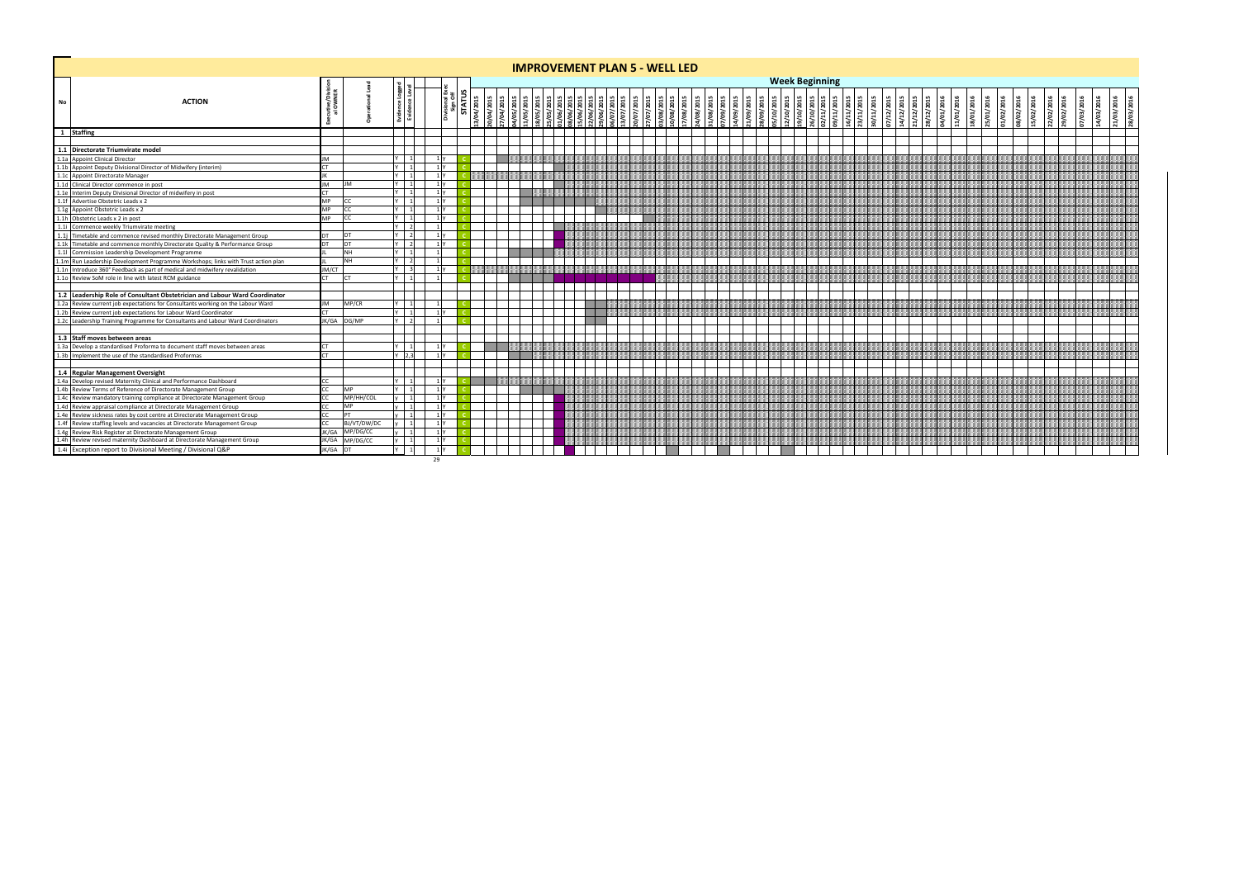|    |                                                                                                                                                                                                                                            |           |             |                 |                |                    |            |                                  |                        | <b>IMPROVEMENT PLAN 5 - WELL LED</b> |           |                         |           |                                       |           |                                        |            |                                                      |                          |            |         |            |     |               |                       |           |           |           |           |           |            |           |           |            |  |
|----|--------------------------------------------------------------------------------------------------------------------------------------------------------------------------------------------------------------------------------------------|-----------|-------------|-----------------|----------------|--------------------|------------|----------------------------------|------------------------|--------------------------------------|-----------|-------------------------|-----------|---------------------------------------|-----------|----------------------------------------|------------|------------------------------------------------------|--------------------------|------------|---------|------------|-----|---------------|-----------------------|-----------|-----------|-----------|-----------|-----------|------------|-----------|-----------|------------|--|
|    |                                                                                                                                                                                                                                            |           |             |                 |                |                    |            |                                  |                        |                                      |           |                         |           |                                       |           |                                        |            | <b>Week Beginning</b>                                |                          |            |         |            |     |               |                       |           |           |           |           |           |            |           |           |            |  |
| No | <b>ACTION</b>                                                                                                                                                                                                                              |           |             |                 |                | STATU<br>3/04/2015 | 10/04/2015 | 704/2015<br>705/2015<br>705/2015 | 8/05/2015<br>5/05/2015 |                                      | 0/07/2015 | STOZ/80/0<br>STOZ/80/El | 7/08/2015 | 7/08/2015<br>11/08/2015<br>17/09/2015 | 4/09/2015 | 21/09/2015<br>28/09/2015<br>25/10/2015 | 12/10/2015 | 19/10/2015<br>26/10/2015<br>02/11/2015<br>09/11/2015 | 16/11/2015<br>23/11/2015 | 10/11/2015 | 12/2015 | 14/12/2015 | 201 | 12/201<br>201 | /201<br>$\frac{5}{2}$ | 9101/2016 | 5/01/2016 | 1/02/2016 | 5/02/2016 | 2/02/2016 | 19/02/2016 | 7/03/2016 | 4/03/2016 | 21/03/2016 |  |
|    | 1 Staffing                                                                                                                                                                                                                                 |           |             |                 |                |                    |            |                                  |                        |                                      |           |                         |           |                                       |           |                                        |            |                                                      |                          |            |         |            |     |               |                       |           |           |           |           |           |            |           |           |            |  |
|    | 1.1 Directorate Triumvirate model<br>1.1a Appoint Clinical Director<br>1.1b Appoint Directorate Manager<br>1.1c Appoint Directorate Manager<br>1.1c Appoint Directorate Manager<br>1.1d Clinical Director commence in post<br>1.1e Interim |           |             |                 |                |                    |            |                                  |                        |                                      |           |                         |           |                                       |           |                                        |            |                                                      |                          |            |         |            |     |               |                       |           |           |           |           |           |            |           |           |            |  |
|    |                                                                                                                                                                                                                                            |           |             |                 |                |                    |            |                                  |                        |                                      |           |                         |           |                                       |           |                                        |            |                                                      |                          |            |         |            |     |               |                       |           |           |           |           |           |            |           |           |            |  |
|    |                                                                                                                                                                                                                                            | <b>JM</b> |             | l 11            | 1 <sub>Y</sub> |                    |            |                                  |                        |                                      |           |                         |           |                                       |           |                                        |            |                                                      |                          |            |         |            |     |               |                       |           |           |           |           |           |            |           |           |            |  |
|    |                                                                                                                                                                                                                                            | <b>CT</b> |             | $\vert$ 1       | 1 <sub>Y</sub> |                    |            |                                  |                        |                                      |           |                         |           |                                       |           |                                        |            |                                                      |                          |            |         |            |     |               |                       |           |           |           |           |           |            |           |           |            |  |
|    |                                                                                                                                                                                                                                            |           |             | 11              | $1\mathrm{V}$  |                    |            |                                  |                        |                                      |           |                         |           |                                       |           |                                        |            |                                                      |                          |            |         |            |     |               |                       |           |           |           |           |           |            |           |           |            |  |
|    |                                                                                                                                                                                                                                            | <b>JM</b> | <b>IM</b>   |                 | 1 <b>Y</b>     |                    |            |                                  |                        |                                      |           |                         |           |                                       |           |                                        |            |                                                      |                          |            |         |            |     |               |                       |           |           |           |           |           |            |           |           |            |  |
|    |                                                                                                                                                                                                                                            | MP        | CC.         |                 |                |                    |            |                                  |                        |                                      |           |                         |           |                                       |           |                                        |            |                                                      |                          |            |         |            |     |               |                       |           |           |           |           |           |            |           |           |            |  |
|    |                                                                                                                                                                                                                                            | <b>MP</b> | CC.         |                 |                |                    |            |                                  |                        |                                      |           |                         |           |                                       |           |                                        |            |                                                      |                          |            |         |            |     |               |                       |           |           |           |           |           |            |           |           |            |  |
|    |                                                                                                                                                                                                                                            | <b>MP</b> | CC.         | l 11            | 1 <sup>N</sup> |                    |            |                                  |                        |                                      |           |                         |           |                                       |           |                                        |            |                                                      |                          |            |         |            |     |               |                       |           |           |           |           |           |            |           |           |            |  |
|    |                                                                                                                                                                                                                                            |           |             | $\vert$ 2       |                |                    |            |                                  |                        |                                      |           |                         |           |                                       |           |                                        |            |                                                      |                          |            |         |            |     |               |                       |           |           |           |           |           |            |           |           |            |  |
|    |                                                                                                                                                                                                                                            | DT.       | DT          | $\overline{2}$  | 1V             |                    |            |                                  |                        |                                      |           |                         |           |                                       |           |                                        |            |                                                      |                          |            |         |            |     |               |                       |           |           |           |           |           |            |           |           |            |  |
|    |                                                                                                                                                                                                                                            |           | DT          |                 |                |                    |            |                                  |                        |                                      |           |                         |           |                                       |           |                                        |            |                                                      |                          |            |         |            |     |               |                       |           |           |           |           |           |            |           |           |            |  |
|    |                                                                                                                                                                                                                                            |           | <b>NH</b>   |                 |                |                    |            |                                  |                        |                                      |           |                         |           |                                       |           |                                        |            |                                                      |                          |            |         |            |     |               |                       |           |           |           |           |           |            |           |           |            |  |
|    |                                                                                                                                                                                                                                            |           | <b>NH</b>   | l 21            |                |                    |            |                                  |                        |                                      |           |                         |           |                                       |           |                                        |            |                                                      |                          |            |         |            |     |               |                       |           |           |           |           |           |            |           |           |            |  |
|    |                                                                                                                                                                                                                                            | JM/CT     |             | l 31            |                |                    |            |                                  |                        |                                      |           |                         |           |                                       |           |                                        |            |                                                      |                          |            |         |            |     |               |                       |           |           |           |           |           |            |           |           |            |  |
|    |                                                                                                                                                                                                                                            | CT.       |             |                 |                |                    |            |                                  |                        |                                      |           |                         |           |                                       |           |                                        |            |                                                      |                          |            |         |            |     |               |                       |           |           |           |           |           |            |           |           |            |  |
|    |                                                                                                                                                                                                                                            |           |             |                 |                |                    |            |                                  |                        |                                      |           |                         |           |                                       |           |                                        |            |                                                      |                          |            |         |            |     |               |                       |           |           |           |           |           |            |           |           |            |  |
|    | 1.2 Leadership Role of Consultant Obstetrician and Labour Ward Coordinator<br>1.2a Review current job expectations for Consultants working on the Labour Ward<br>1.2b Review current job expectations for Labour Ward Coordinator<br>1.    |           |             |                 |                |                    |            |                                  |                        |                                      |           |                         |           |                                       |           |                                        |            |                                                      |                          |            |         |            |     |               |                       |           |           |           |           |           |            |           |           |            |  |
|    |                                                                                                                                                                                                                                            | <b>JM</b> | MP/CR       |                 |                |                    |            |                                  |                        |                                      |           |                         |           |                                       |           |                                        |            |                                                      |                          |            |         |            |     |               |                       |           |           |           |           |           |            |           |           |            |  |
|    |                                                                                                                                                                                                                                            |           |             |                 |                |                    |            |                                  |                        |                                      |           |                         |           |                                       |           |                                        |            |                                                      |                          |            |         |            |     |               |                       |           |           |           |           |           |            |           |           |            |  |
|    |                                                                                                                                                                                                                                            |           | JK/GA DG/MP | $  \; \;$ 2 $ $ |                |                    |            |                                  |                        |                                      |           |                         |           |                                       |           |                                        |            |                                                      |                          |            |         |            |     |               |                       |           |           |           |           |           |            |           |           |            |  |
|    |                                                                                                                                                                                                                                            |           |             |                 |                |                    |            |                                  |                        |                                      |           |                         |           |                                       |           |                                        |            |                                                      |                          |            |         |            |     |               |                       |           |           |           |           |           |            |           |           |            |  |
|    | 1.3 Staff moves between areas                                                                                                                                                                                                              |           |             |                 |                |                    |            |                                  |                        |                                      |           |                         |           |                                       |           |                                        |            |                                                      |                          |            |         |            |     |               |                       |           |           |           |           |           |            |           |           |            |  |
|    |                                                                                                                                                                                                                                            | <b>CT</b> |             |                 | $1\vert v$     |                    |            |                                  |                        |                                      |           |                         |           |                                       |           |                                        |            |                                                      |                          |            |         |            |     |               |                       |           |           |           |           |           |            |           |           |            |  |
|    | 1.3a Develop a standardised Proforma to document staff moves between areas<br>1.3b Implement the use of the standardised Proformas                                                                                                         |           |             | 123             |                |                    |            |                                  |                        |                                      |           |                         |           |                                       |           |                                        |            |                                                      |                          |            |         |            |     |               |                       |           |           |           |           |           |            |           |           |            |  |
|    |                                                                                                                                                                                                                                            |           |             |                 |                |                    |            |                                  |                        |                                      |           |                         |           |                                       |           |                                        |            |                                                      |                          |            |         |            |     |               |                       |           |           |           |           |           |            |           |           |            |  |
|    |                                                                                                                                                                                                                                            |           |             |                 | 1 <sup>N</sup> |                    |            |                                  |                        |                                      |           |                         |           |                                       |           |                                        |            |                                                      |                          |            |         |            |     |               |                       |           |           |           |           |           |            |           |           |            |  |
|    |                                                                                                                                                                                                                                            |           | <b>MP</b>   | $\overline{1}$  | 1 <sup>Y</sup> |                    |            |                                  |                        |                                      |           |                         |           |                                       |           |                                        |            |                                                      |                          |            |         |            |     |               |                       |           |           |           |           |           |            |           |           |            |  |
|    |                                                                                                                                                                                                                                            |           | MP/HH/COL   |                 | 1 <sup>1</sup> |                    |            |                                  |                        |                                      |           |                         |           |                                       |           |                                        |            |                                                      |                          |            |         |            |     |               |                       |           |           |           |           |           |            |           |           |            |  |
|    |                                                                                                                                                                                                                                            |           | <b>MP</b>   |                 | 1 I Y          |                    |            |                                  |                        |                                      |           |                         |           |                                       |           |                                        |            |                                                      |                          |            |         |            |     |               |                       |           |           |           |           |           |            |           |           |            |  |
|    |                                                                                                                                                                                                                                            |           |             |                 |                |                    |            |                                  |                        |                                      |           |                         |           |                                       |           |                                        |            |                                                      |                          |            |         |            |     |               |                       |           |           |           |           |           |            |           |           |            |  |
|    |                                                                                                                                                                                                                                            |           | BJ/VT/DW/DC |                 |                |                    |            |                                  |                        |                                      |           |                         |           |                                       |           |                                        |            |                                                      |                          |            |         |            |     |               |                       |           |           |           |           |           |            |           |           |            |  |
|    |                                                                                                                                                                                                                                            | JK/GA     | MP/DG/CC    | $\mathbf{1}$    | 1 Y            |                    |            |                                  |                        |                                      |           |                         |           |                                       |           |                                        |            |                                                      |                          |            |         |            |     |               |                       |           |           |           |           |           |            |           |           |            |  |
|    |                                                                                                                                                                                                                                            | JK/GA     | MP/DG/CC    | l 11            | 1 <sup>N</sup> |                    |            |                                  |                        |                                      |           |                         |           |                                       |           |                                        |            |                                                      |                          |            |         |            |     |               |                       |           |           |           |           |           |            |           |           |            |  |
|    | 1.4 Regular Management Oversight<br>1.4a Develop revised Maternity Clinical and Performance Dashboard<br>1.4b Review Terms of Reference of Directorate Management Group<br>1.4c Review mandatory training compliance at Directorate        | JK/GA     |             | $\blacksquare$  | 1 Y            |                    |            |                                  |                        |                                      |           |                         |           |                                       |           |                                        |            |                                                      |                          |            |         |            |     |               |                       |           |           |           |           |           |            |           |           |            |  |
|    |                                                                                                                                                                                                                                            |           |             |                 | 29             |                    |            |                                  |                        |                                      |           |                         |           |                                       |           |                                        |            |                                                      |                          |            |         |            |     |               |                       |           |           |           |           |           |            |           |           |            |  |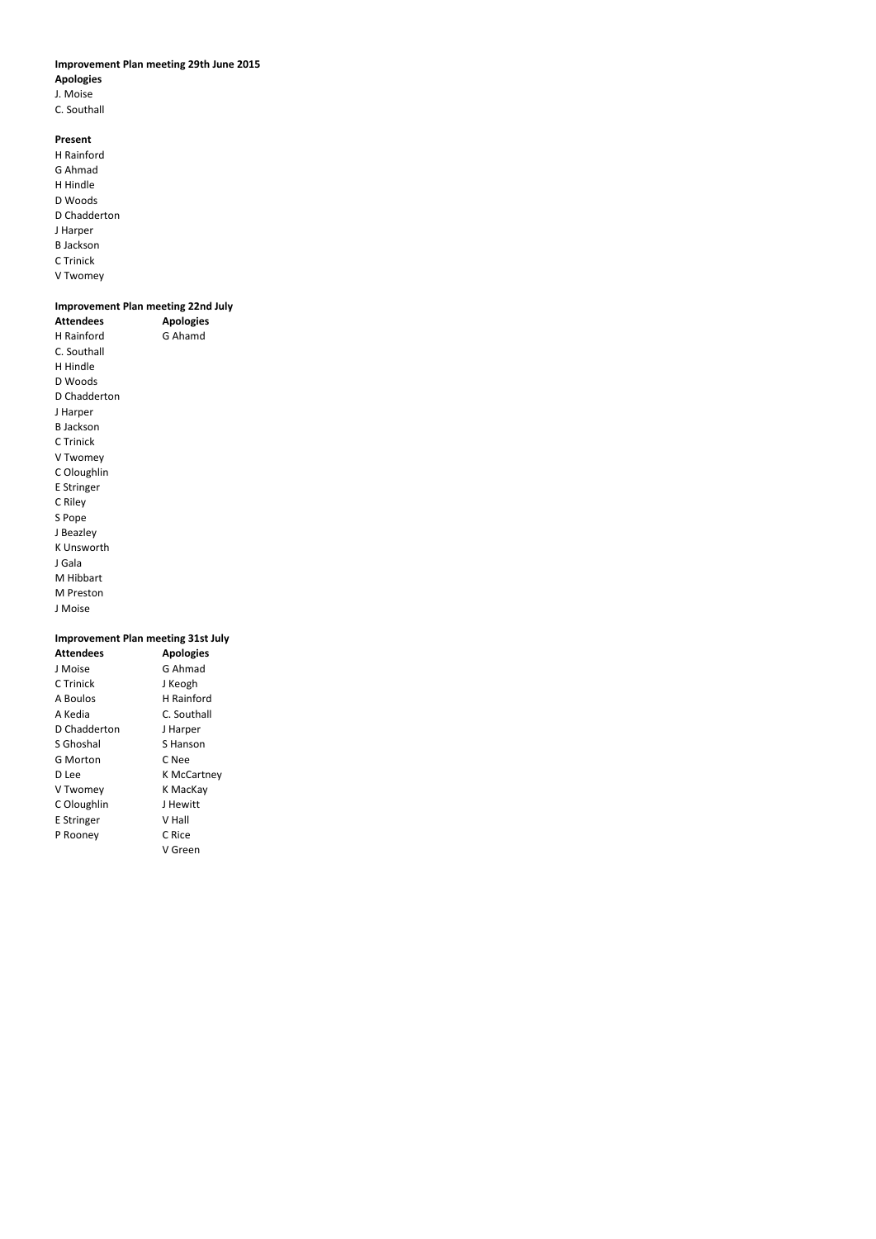# **Improvement Plan meeting 29th June 2015**

# **Apologies**

- J. Moise
- C. Southall

# **Present**

H Rainford G Ahmad H Hindle D Woods D Chadderton J Harper B Jackson C Trinick V Twomey

# **Improvement Plan meeting 22nd July**

| <b>Attendees</b> | <b>Apologies</b> |
|------------------|------------------|
| H Rainford       | G Ahamd          |
| C. Southall      |                  |
| H Hindle         |                  |
| D Woods          |                  |
| D Chadderton     |                  |
| J Harper         |                  |
| B Jackson        |                  |
| C Trinick        |                  |
| V Twomey         |                  |
| C Oloughlin      |                  |
| E Stringer       |                  |
| C Riley          |                  |
| S Pope           |                  |
| J Beazley        |                  |
| K Unsworth       |                  |
| J Gala           |                  |
| M Hibbart        |                  |
| M Preston        |                  |
| J Moise          |                  |

# **Improvement Plan meeting 31st July**

| <b>Apologies</b>   |
|--------------------|
| G Ahmad            |
| J Keogh            |
| H Rainford         |
| C. Southall        |
| J Harper           |
| S Hanson           |
| C Nee              |
| <b>K McCartney</b> |
| K MacKay           |
| J Hewitt           |
| V Hall             |
| C Rice             |
| V Green            |
|                    |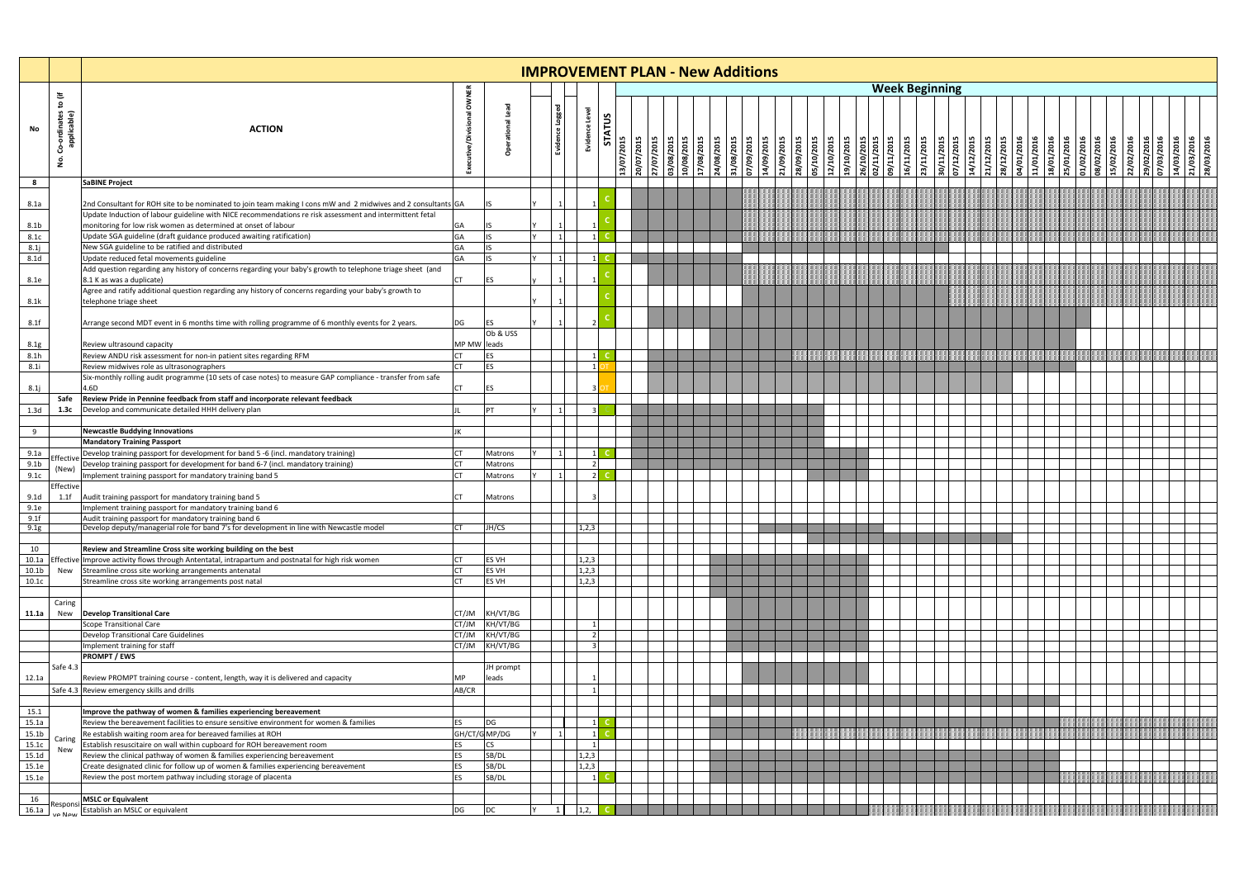|                          |                                                 |                                                                                                                                                |                        |                    | <b>IMPROVEMENT PLAN - New Additions</b> |               |                  |                          |            |            |                          |                                        |                                        |                          |  |                       |  |  |  |                                                      |                                        |  |
|--------------------------|-------------------------------------------------|------------------------------------------------------------------------------------------------------------------------------------------------|------------------------|--------------------|-----------------------------------------|---------------|------------------|--------------------------|------------|------------|--------------------------|----------------------------------------|----------------------------------------|--------------------------|--|-----------------------|--|--|--|------------------------------------------------------|----------------------------------------|--|
|                          |                                                 |                                                                                                                                                |                        |                    |                                         |               |                  |                          |            |            |                          |                                        |                                        |                          |  | <b>Week Beginning</b> |  |  |  |                                                      |                                        |  |
| No                       | €<br>Β<br>ξů<br>ordinate<br>nolicable<br>Ŝ<br>ġ | <b>ACTION</b>                                                                                                                                  | OWNER                  | C                  | Level<br>په<br>Evider<br>Eviden         | <b>STATUS</b> | <b>STOZ/2012</b> | 20/07/2015<br>27/07/2015 | 03/08/2015 | 10/08/2015 | 17/08/2015<br>24/08/2015 | 31/08/2015<br>07/09/2015<br>14/09/2015 | 21/09/2015<br>28/09/2015<br>05/10/2015 | 12/10/2015<br>19/10/2015 |  |                       |  |  |  | 15/02/2016<br>22/02/2016<br>29/02/2016<br>07/03/2016 | 14/03/2016<br>21/03/2016<br>28/03/2016 |  |
| 8                        |                                                 | <b>SaBINE Project</b>                                                                                                                          |                        |                    |                                         |               |                  |                          |            |            |                          |                                        |                                        |                          |  |                       |  |  |  |                                                      |                                        |  |
| 8.1a                     |                                                 | 2nd Consultant for ROH site to be nominated to join team making I cons mW and 2 midwives and 2 consultants GA                                  |                        |                    |                                         |               |                  |                          |            |            |                          |                                        |                                        |                          |  |                       |  |  |  |                                                      |                                        |  |
|                          |                                                 | Update Induction of labour guideline with NICE recommendations re risk assessment and intermittent fetal                                       |                        |                    |                                         |               |                  |                          |            |            |                          |                                        |                                        |                          |  |                       |  |  |  |                                                      |                                        |  |
| 8.1 <sub>b</sub>         |                                                 | monitoring for low risk women as determined at onset of labour                                                                                 | GA                     | ΠS                 |                                         |               |                  |                          |            |            |                          |                                        |                                        |                          |  |                       |  |  |  |                                                      |                                        |  |
| 8.1c<br>8.1j             |                                                 | Update SGA guideline (draft guidance produced awaiting ratification)<br>New SGA guideline to be ratified and distributed                       | GA<br>GA               | IS.<br>lis         |                                         |               |                  |                          |            |            |                          |                                        |                                        |                          |  |                       |  |  |  |                                                      |                                        |  |
| 8.1 <sub>d</sub>         |                                                 | Update reduced fetal movements guideline                                                                                                       | GA                     | lis                |                                         |               |                  |                          |            |            |                          |                                        |                                        |                          |  |                       |  |  |  |                                                      |                                        |  |
|                          |                                                 | Add question regarding any history of concerns regarding your baby's growth to telephone triage sheet (and                                     |                        |                    |                                         |               |                  |                          |            |            |                          |                                        |                                        |                          |  |                       |  |  |  |                                                      |                                        |  |
| 8.1e                     |                                                 | 8.1 K as was a duplicate)                                                                                                                      | <b>CT</b>              | <b>ES</b>          |                                         |               |                  |                          |            |            |                          |                                        |                                        |                          |  |                       |  |  |  |                                                      |                                        |  |
|                          |                                                 | Agree and ratify additional question regarding any history of concerns regarding your baby's growth to                                         |                        |                    |                                         |               |                  |                          |            |            |                          |                                        |                                        |                          |  |                       |  |  |  |                                                      |                                        |  |
| 8.1k                     |                                                 | telephone triage sheet                                                                                                                         |                        |                    |                                         |               |                  |                          |            |            |                          |                                        |                                        |                          |  |                       |  |  |  |                                                      |                                        |  |
| 8.1f                     |                                                 | Arrange second MDT event in 6 months time with rolling programme of 6 monthly events for 2 years.                                              | DG                     | ES                 |                                         |               |                  |                          |            |            |                          |                                        |                                        |                          |  |                       |  |  |  |                                                      |                                        |  |
|                          |                                                 |                                                                                                                                                |                        | Ob & USS           |                                         |               |                  |                          |            |            |                          |                                        |                                        |                          |  |                       |  |  |  |                                                      |                                        |  |
| 8.1g                     |                                                 | Review ultrasound capacity                                                                                                                     | MP MW leads            |                    |                                         |               |                  |                          |            |            |                          |                                        |                                        |                          |  |                       |  |  |  |                                                      |                                        |  |
| 8.1h                     |                                                 | Review ANDU risk assessment for non-in patient sites regarding RFM                                                                             |                        | ES                 |                                         |               |                  |                          |            |            |                          |                                        |                                        |                          |  |                       |  |  |  |                                                      |                                        |  |
| 8.1i                     |                                                 | Review midwives role as ultrasonographers                                                                                                      |                        | ES                 |                                         |               |                  |                          |            |            |                          |                                        |                                        |                          |  |                       |  |  |  |                                                      |                                        |  |
|                          |                                                 | Six-monthly rolling audit programme (10 sets of case notes) to measure GAP compliance - transfer from safe<br>4.6D                             |                        |                    |                                         |               |                  |                          |            |            |                          |                                        |                                        |                          |  |                       |  |  |  |                                                      |                                        |  |
| 8.1j                     | Safe                                            | Review Pride in Pennine feedback from staff and incorporate relevant feedback                                                                  | CT                     | ES                 |                                         |               |                  |                          |            |            |                          |                                        |                                        |                          |  |                       |  |  |  |                                                      |                                        |  |
| 1.3d                     | 1.3c                                            | Develop and communicate detailed HHH delivery plan                                                                                             |                        | PT                 |                                         |               |                  |                          |            |            |                          |                                        |                                        |                          |  |                       |  |  |  |                                                      |                                        |  |
|                          |                                                 |                                                                                                                                                |                        |                    |                                         |               |                  |                          |            |            |                          |                                        |                                        |                          |  |                       |  |  |  |                                                      |                                        |  |
| 9                        |                                                 | <b>Newcastle Buddying Innovations</b>                                                                                                          |                        |                    |                                         |               |                  |                          |            |            |                          |                                        |                                        |                          |  |                       |  |  |  |                                                      |                                        |  |
|                          |                                                 | <b>Mandatory Training Passport</b>                                                                                                             |                        |                    |                                         |               |                  |                          |            |            |                          |                                        |                                        |                          |  |                       |  |  |  |                                                      |                                        |  |
| 9.1a                     | Effective                                       | Develop training passport for development for band 5 -6 (incl. mandatory training)                                                             |                        | Matrons            |                                         |               |                  |                          |            |            |                          |                                        |                                        |                          |  |                       |  |  |  |                                                      |                                        |  |
| 9.1 <sub>b</sub><br>9.1c | (New)                                           | Develop training passport for development for band 6-7 (incl. mandatory training)<br>Implement training passport for mandatory training band 5 |                        | Matrons<br>Matrons |                                         |               |                  |                          |            |            |                          |                                        |                                        |                          |  |                       |  |  |  |                                                      |                                        |  |
|                          | Effective                                       |                                                                                                                                                |                        |                    |                                         |               |                  |                          |            |            |                          |                                        |                                        |                          |  |                       |  |  |  |                                                      |                                        |  |
| 9.1 <sub>d</sub>         | 1.1f                                            | Audit training passport for mandatory training band 5                                                                                          |                        | Matrons            |                                         |               |                  |                          |            |            |                          |                                        |                                        |                          |  |                       |  |  |  |                                                      |                                        |  |
| 9.1e                     |                                                 | Implement training passport for mandatory training band 6                                                                                      |                        |                    |                                         |               |                  |                          |            |            |                          |                                        |                                        |                          |  |                       |  |  |  |                                                      |                                        |  |
| 9.1f                     |                                                 | Audit training passport for mandatory training band 6                                                                                          |                        |                    |                                         |               |                  |                          |            |            |                          |                                        |                                        |                          |  |                       |  |  |  |                                                      |                                        |  |
| 9.1g                     |                                                 | Develop deputy/managerial role for band 7's for development in line with Newcastle model                                                       | <b>CT</b>              | JH/CS              | 1,2,3                                   |               |                  |                          |            |            |                          |                                        |                                        |                          |  |                       |  |  |  |                                                      |                                        |  |
| 10                       |                                                 | Review and Streamline Cross site working building on the best                                                                                  |                        |                    |                                         |               |                  |                          |            |            |                          |                                        |                                        |                          |  |                       |  |  |  |                                                      |                                        |  |
| 10.1a                    |                                                 | Effective Improve activity flows through Antentatal, intrapartum and postnatal for high risk women                                             | CT                     | <b>ES VH</b>       | 1,2,3                                   |               |                  |                          |            |            |                          |                                        |                                        |                          |  |                       |  |  |  |                                                      |                                        |  |
| 10.1 <sub>b</sub>        | New                                             | Streamline cross site working arrangements antenatal                                                                                           | CT.                    | ES VH              | 1,2,3                                   |               |                  |                          |            |            |                          |                                        |                                        |                          |  |                       |  |  |  |                                                      |                                        |  |
| 10.1c                    |                                                 | Streamline cross site working arrangements post natal                                                                                          | <b>CT</b>              | ES VH              | 1,2,3                                   |               |                  |                          |            |            |                          |                                        |                                        |                          |  |                       |  |  |  |                                                      |                                        |  |
|                          |                                                 |                                                                                                                                                |                        |                    |                                         |               |                  |                          |            |            |                          |                                        |                                        |                          |  |                       |  |  |  |                                                      |                                        |  |
| 11.1a                    | Caring<br>New                                   | <b>Develop Transitional Care</b>                                                                                                               |                        | CT/JM KH/VT/BG     |                                         |               |                  |                          |            |            |                          |                                        |                                        |                          |  |                       |  |  |  |                                                      |                                        |  |
|                          |                                                 | Scope Transitional Care                                                                                                                        |                        | CT/JM KH/VT/BG     |                                         |               |                  |                          |            |            |                          |                                        |                                        |                          |  |                       |  |  |  |                                                      |                                        |  |
|                          |                                                 | <b>Develop Transitional Care Guidelines</b>                                                                                                    | CT/JM                  | KH/VT/BG           |                                         |               |                  |                          |            |            |                          |                                        |                                        |                          |  |                       |  |  |  |                                                      |                                        |  |
|                          |                                                 | Implement training for staff                                                                                                                   |                        | CT/JM KH/VT/BG     |                                         |               |                  |                          |            |            |                          |                                        |                                        |                          |  |                       |  |  |  |                                                      |                                        |  |
|                          |                                                 | <b>PROMPT / EWS</b>                                                                                                                            |                        |                    |                                         |               |                  |                          |            |            |                          |                                        |                                        |                          |  |                       |  |  |  |                                                      |                                        |  |
|                          | Safe 4.3                                        |                                                                                                                                                |                        | JH prompt          |                                         |               |                  |                          |            |            |                          |                                        |                                        |                          |  |                       |  |  |  |                                                      |                                        |  |
| 12.1a                    |                                                 | Review PROMPT training course - content, length, way it is delivered and capacity<br>Safe 4.3 Review emergency skills and drills               | МP<br>AB/CR            | leads              |                                         |               |                  |                          |            |            |                          |                                        |                                        |                          |  |                       |  |  |  |                                                      |                                        |  |
|                          |                                                 |                                                                                                                                                |                        |                    |                                         |               |                  |                          |            |            |                          |                                        |                                        |                          |  |                       |  |  |  |                                                      |                                        |  |
| 15.1                     |                                                 | Improve the pathway of women & families experiencing bereavement                                                                               |                        |                    |                                         |               |                  |                          |            |            |                          |                                        |                                        |                          |  |                       |  |  |  |                                                      |                                        |  |
| 15.1a                    |                                                 | Review the bereavement facilities to ensure sensitive environment for women & families                                                         | ES                     | DG                 |                                         |               |                  |                          |            |            |                          |                                        |                                        |                          |  |                       |  |  |  |                                                      |                                        |  |
| 15.1 <sub>b</sub>        | Caring                                          | Re establish waiting room area for bereaved families at ROH                                                                                    |                        | GH/CT/G MP/DG      |                                         |               |                  |                          |            |            |                          |                                        |                                        |                          |  |                       |  |  |  |                                                      |                                        |  |
| 15.1c                    | <b>New</b>                                      | Establish resuscitaire on wall within cupboard for ROH bereavement room                                                                        | ES.                    | CS                 |                                         |               |                  |                          |            |            |                          |                                        |                                        |                          |  |                       |  |  |  |                                                      |                                        |  |
| 15.1d                    |                                                 | Review the clinical pathway of women & families experiencing bereavement                                                                       | ES                     | SB/DL              | 1,2,3                                   |               |                  |                          |            |            |                          |                                        |                                        |                          |  |                       |  |  |  |                                                      |                                        |  |
| 15.1e                    |                                                 | Create designated clinic for follow up of women & families experiencing bereavement                                                            | <b>ES</b><br>ES.       | SB/DL<br>SB/DL     | 1,2,3                                   |               |                  |                          |            |            |                          |                                        |                                        |                          |  |                       |  |  |  |                                                      |                                        |  |
| 15.1e                    |                                                 | Review the post mortem pathway including storage of placenta                                                                                   |                        |                    |                                         |               |                  |                          |            |            |                          |                                        |                                        |                          |  |                       |  |  |  |                                                      |                                        |  |
| 16                       |                                                 | <b>MSLC or Equivalent</b>                                                                                                                      |                        |                    |                                         |               |                  |                          |            |            |                          |                                        |                                        |                          |  |                       |  |  |  |                                                      |                                        |  |
| 16.1a                    | - Respons                                       | Establish an MSLC or equivalent                                                                                                                | $\mathsf{D}\mathsf{G}$ | DC                 | 1,2,                                    |               |                  |                          |            |            |                          |                                        |                                        |                          |  |                       |  |  |  |                                                      |                                        |  |
|                          |                                                 |                                                                                                                                                |                        |                    |                                         |               |                  |                          |            |            |                          |                                        |                                        |                          |  |                       |  |  |  |                                                      |                                        |  |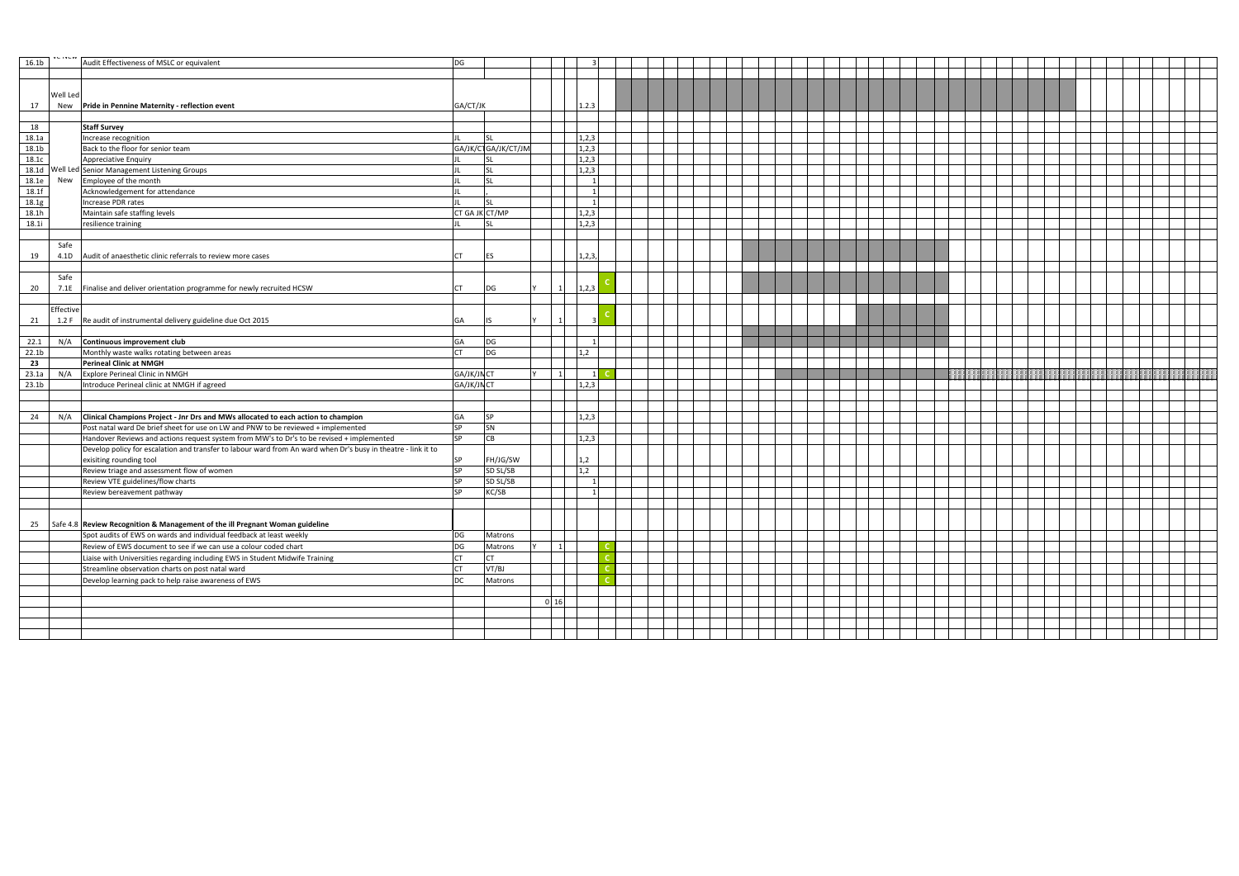| 16.1 <sub>b</sub> | <b>AADIAC</b> | Audit Effectiveness of MSLC or equivalent                                                                     | DG             |                     |            |        |  |  |  |  |  |  |  |  |  |  |
|-------------------|---------------|---------------------------------------------------------------------------------------------------------------|----------------|---------------------|------------|--------|--|--|--|--|--|--|--|--|--|--|
|                   |               |                                                                                                               |                |                     |            |        |  |  |  |  |  |  |  |  |  |  |
|                   |               |                                                                                                               |                |                     |            |        |  |  |  |  |  |  |  |  |  |  |
|                   | Well Led      |                                                                                                               |                |                     |            |        |  |  |  |  |  |  |  |  |  |  |
| 17                |               | New Pride in Pennine Maternity - reflection event                                                             | GA/CT/JK       |                     |            | 1.2.3  |  |  |  |  |  |  |  |  |  |  |
|                   |               |                                                                                                               |                |                     |            |        |  |  |  |  |  |  |  |  |  |  |
| 18                |               | <b>Staff Survey</b>                                                                                           |                |                     |            |        |  |  |  |  |  |  |  |  |  |  |
| 18.1a             |               | Increase recognition                                                                                          |                | <b>SL</b>           |            | 1,2,3  |  |  |  |  |  |  |  |  |  |  |
| 18.1 <sub>b</sub> |               | Back to the floor for senior team                                                                             |                | GA/JK/CTGA/JK/CT/JM |            | 1,2,3  |  |  |  |  |  |  |  |  |  |  |
| 18.1c             |               | <b>Appreciative Enquiry</b>                                                                                   |                |                     |            | 1,2,3  |  |  |  |  |  |  |  |  |  |  |
|                   |               | 18.1d Well Led Senior Management Listening Groups                                                             |                | <b>SL</b>           |            | 1,2,3  |  |  |  |  |  |  |  |  |  |  |
| 18.1e             | New           | Employee of the month                                                                                         |                | <b>SL</b>           |            |        |  |  |  |  |  |  |  |  |  |  |
| 18.1f             |               | Acknowledgement for attendance                                                                                |                |                     |            |        |  |  |  |  |  |  |  |  |  |  |
| 18.1g             |               | Increase PDR rates                                                                                            |                | <b>SL</b>           |            |        |  |  |  |  |  |  |  |  |  |  |
| 18.1h             |               | Maintain safe staffing levels                                                                                 | CT GA JK CT/MP |                     |            | 1,2,3  |  |  |  |  |  |  |  |  |  |  |
| 18.1i             |               | resilience training                                                                                           |                | <b>SL</b>           |            | 1,2,3  |  |  |  |  |  |  |  |  |  |  |
|                   |               |                                                                                                               |                |                     |            |        |  |  |  |  |  |  |  |  |  |  |
|                   | Safe          |                                                                                                               |                |                     |            |        |  |  |  |  |  |  |  |  |  |  |
| 19                |               | 4.1D Audit of anaesthetic clinic referrals to review more cases                                               | <b>CT</b>      | <b>IES</b>          |            | 1,2,3, |  |  |  |  |  |  |  |  |  |  |
|                   |               |                                                                                                               |                |                     |            |        |  |  |  |  |  |  |  |  |  |  |
|                   | Safe          |                                                                                                               |                |                     |            |        |  |  |  |  |  |  |  |  |  |  |
| 20                |               | 7.1E Finalise and deliver orientation programme for newly recruited HCSW                                      | <b>CT</b>      | DG                  |            | 1,2,3  |  |  |  |  |  |  |  |  |  |  |
|                   |               |                                                                                                               |                |                     |            |        |  |  |  |  |  |  |  |  |  |  |
|                   | Effective     | 1.2 F Re audit of instrumental delivery guideline due Oct 2015                                                |                |                     |            |        |  |  |  |  |  |  |  |  |  |  |
| 21                |               |                                                                                                               | <b>GA</b>      | l IS                |            |        |  |  |  |  |  |  |  |  |  |  |
| 22.1              | N/A           | Continuous improvement club                                                                                   | GA             | DG                  |            |        |  |  |  |  |  |  |  |  |  |  |
| 22.1 <sub>b</sub> |               | Monthly waste walks rotating between areas                                                                    | <b>CT</b>      | DG                  |            | 1,2    |  |  |  |  |  |  |  |  |  |  |
| 23                |               | <b>Perineal Clinic at NMGH</b>                                                                                |                |                     |            |        |  |  |  |  |  |  |  |  |  |  |
| 23.1a             | N/A           | Explore Perineal Clinic in NMGH                                                                               | GA/JK/JN CT    |                     |            |        |  |  |  |  |  |  |  |  |  |  |
| 23.1 <sub>b</sub> |               | Introduce Perineal clinic at NMGH if agreed                                                                   | GA/JK/JN CT    |                     |            | 1,2,3  |  |  |  |  |  |  |  |  |  |  |
|                   |               |                                                                                                               |                |                     |            |        |  |  |  |  |  |  |  |  |  |  |
|                   |               |                                                                                                               |                |                     |            |        |  |  |  |  |  |  |  |  |  |  |
| 24                |               | $N/A$ Clinical Champions Project - Jnr Drs and MWs allocated to each action to champion                       | GA             | <b>SP</b>           |            | 1,2,3  |  |  |  |  |  |  |  |  |  |  |
|                   |               | Post natal ward De brief sheet for use on LW and PNW to be reviewed + implemented                             | <b>SP</b>      | SN                  |            |        |  |  |  |  |  |  |  |  |  |  |
|                   |               | Handover Reviews and actions request system from MW's to Dr's to be revised + implemented                     | <b>SP</b>      | CB                  |            | 1,2,3  |  |  |  |  |  |  |  |  |  |  |
|                   |               | Develop policy for escalation and transfer to labour ward from An ward when Dr's busy in theatre - link it to |                |                     |            |        |  |  |  |  |  |  |  |  |  |  |
|                   |               | exisiting rounding tool                                                                                       | <b>SP</b>      | FH/JG/SW            |            | 1,2    |  |  |  |  |  |  |  |  |  |  |
|                   |               | Review triage and assessment flow of women                                                                    | <b>SP</b>      | SD SL/SB            |            | 1,2    |  |  |  |  |  |  |  |  |  |  |
|                   |               | Review VTE guidelines/flow charts                                                                             | <b>SP</b>      | SD SL/SB            |            |        |  |  |  |  |  |  |  |  |  |  |
|                   |               | Review bereavement pathway                                                                                    | <b>SP</b>      | KC/SB               |            |        |  |  |  |  |  |  |  |  |  |  |
|                   |               |                                                                                                               |                |                     |            |        |  |  |  |  |  |  |  |  |  |  |
|                   |               |                                                                                                               |                |                     |            |        |  |  |  |  |  |  |  |  |  |  |
|                   |               | 25 Safe 4.8 Review Recognition & Management of the ill Pregnant Woman guideline                               |                |                     |            |        |  |  |  |  |  |  |  |  |  |  |
|                   |               | Spot audits of EWS on wards and individual feedback at least weekly                                           | DG             | Matrons             |            |        |  |  |  |  |  |  |  |  |  |  |
|                   |               | Review of EWS document to see if we can use a colour coded chart                                              | DG             | Matrons             |            |        |  |  |  |  |  |  |  |  |  |  |
|                   |               | Liaise with Universities regarding including EWS in Student Midwife Training                                  | <b>CT</b>      | <b>CT</b>           |            |        |  |  |  |  |  |  |  |  |  |  |
|                   |               | Streamline observation charts on post natal ward                                                              | <b>CT</b>      | VT/BJ               |            |        |  |  |  |  |  |  |  |  |  |  |
|                   |               | Develop learning pack to help raise awareness of EWS                                                          | <b>DC</b>      | Matrons             |            |        |  |  |  |  |  |  |  |  |  |  |
|                   |               |                                                                                                               |                |                     |            |        |  |  |  |  |  |  |  |  |  |  |
|                   |               |                                                                                                               |                |                     | $0\quad16$ |        |  |  |  |  |  |  |  |  |  |  |
|                   |               |                                                                                                               |                |                     |            |        |  |  |  |  |  |  |  |  |  |  |
|                   |               |                                                                                                               |                |                     |            |        |  |  |  |  |  |  |  |  |  |  |
|                   |               |                                                                                                               |                |                     |            |        |  |  |  |  |  |  |  |  |  |  |